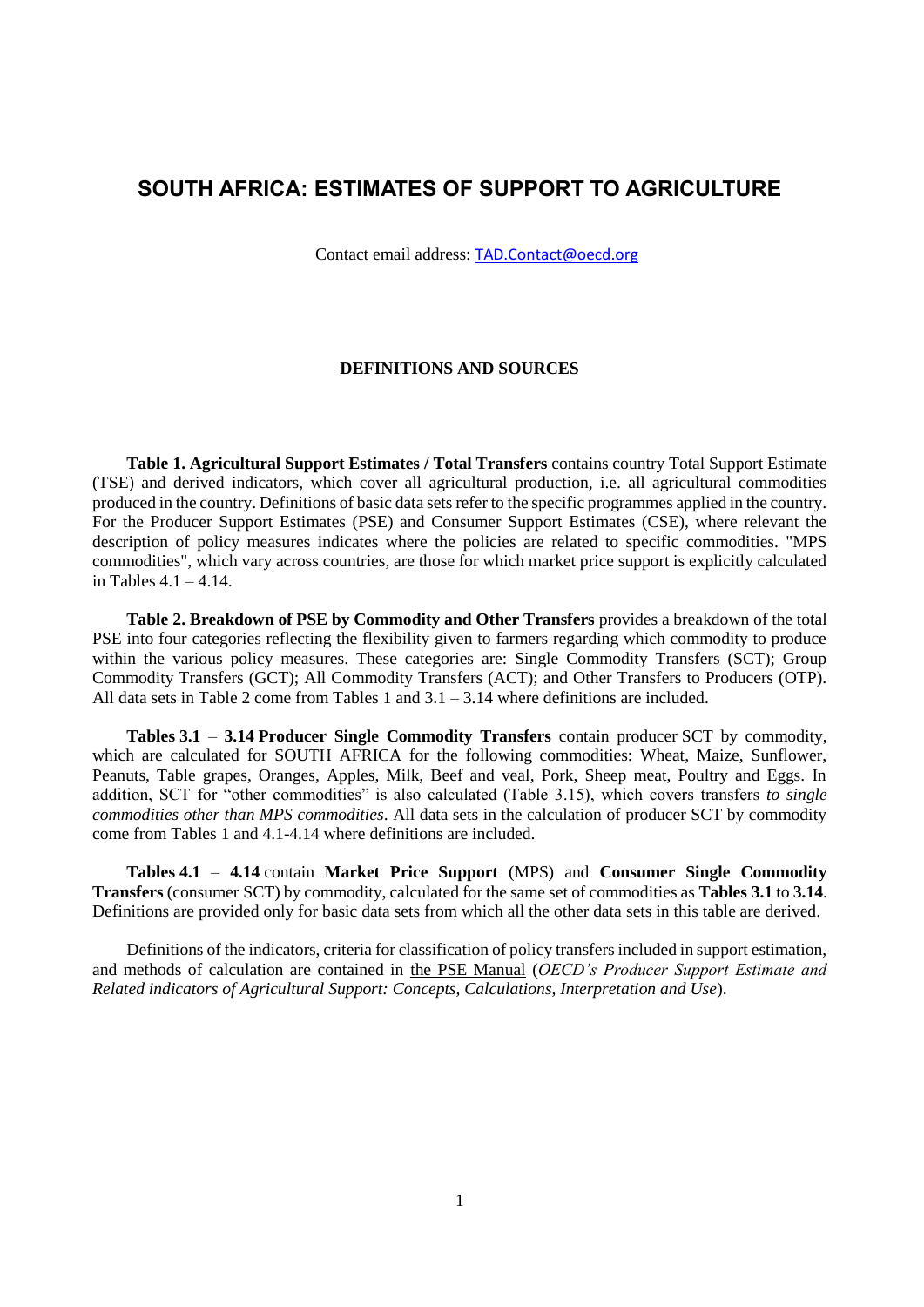# **SOUTH AFRICA: ESTIMATES OF SUPPORT TO AGRICULTURE**

Contact email address: [TAD.Contact@oecd.org](mailto:TAD.Contact@oecd.org)

## **DEFINITIONS AND SOURCES**

**Table 1. Agricultural Support Estimates / Total Transfers** contains country Total Support Estimate (TSE) and derived indicators, which cover all agricultural production, i.e. all agricultural commodities produced in the country. Definitions of basic data sets refer to the specific programmes applied in the country. For the Producer Support Estimates (PSE) and Consumer Support Estimates (CSE), where relevant the description of policy measures indicates where the policies are related to specific commodities. "MPS commodities", which vary across countries, are those for which market price support is explicitly calculated in Tables  $4.1 - 4.14$ .

**Table 2. Breakdown of PSE by Commodity and Other Transfers** provides a breakdown of the total PSE into four categories reflecting the flexibility given to farmers regarding which commodity to produce within the various policy measures. These categories are: Single Commodity Transfers (SCT); Group Commodity Transfers (GCT); All Commodity Transfers (ACT); and Other Transfers to Producers (OTP). All data sets in Table 2 come from Tables 1 and 3.1 – 3.14 where definitions are included.

**Tables 3.1** – **3.14 Producer Single Commodity Transfers** contain producer SCT by commodity, which are calculated for SOUTH AFRICA for the following commodities: Wheat, Maize, Sunflower, Peanuts, Table grapes, Oranges, Apples, Milk, Beef and veal, Pork, Sheep meat, Poultry and Eggs. In addition, SCT for "other commodities" is also calculated (Table 3.15), which covers transfers *to single commodities other than MPS commodities*. All data sets in the calculation of producer SCT by commodity come from Tables 1 and 4.1-4.14 where definitions are included.

**Tables 4.1** – **4.14** contain **Market Price Support** (MPS) and **Consumer Single Commodity Transfers** (consumer SCT) by commodity, calculated for the same set of commodities as **Tables 3.1** to **3.14**. Definitions are provided only for basic data sets from which all the other data sets in this table are derived.

Definitions of the indicators, criteria for classification of policy transfers included in support estimation, and methods of calculation are contained in [the PSE Manual](http://www.oecd.org/tad/agricultural-policies/psemanual.htm) (*OECD's Producer Support Estimate and Related indicators of Agricultural Support: Concepts, Calculations, Interpretation and Use*).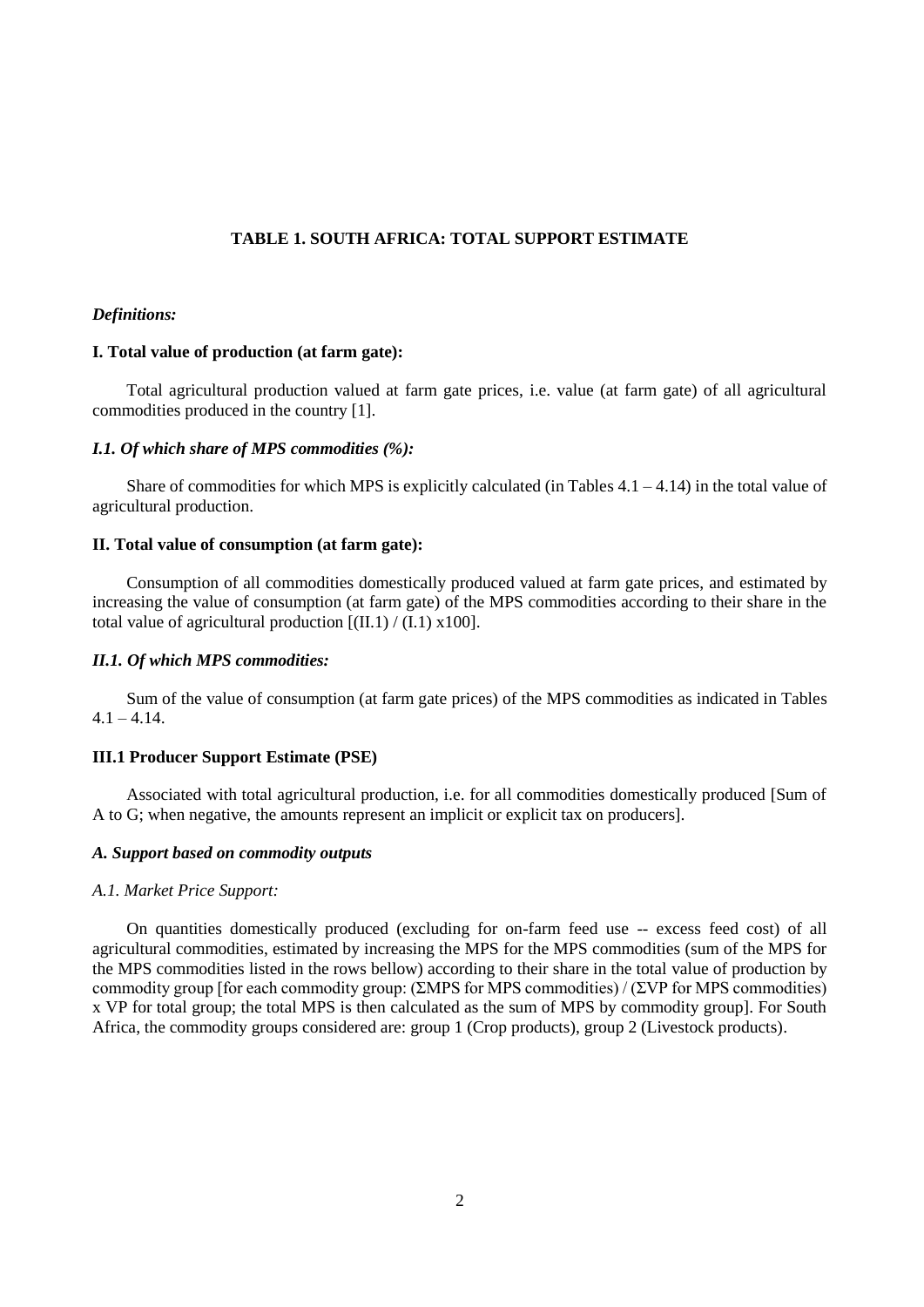### **TABLE 1. SOUTH AFRICA: TOTAL SUPPORT ESTIMATE**

### *Definitions:*

### **I. Total value of production (at farm gate):**

Total agricultural production valued at farm gate prices, i.e. value (at farm gate) of all agricultural commodities produced in the country [1].

### *I.1. Of which share of MPS commodities (%):*

Share of commodities for which MPS is explicitly calculated (in Tables  $4.1 - 4.14$ ) in the total value of agricultural production.

### **II. Total value of consumption (at farm gate):**

Consumption of all commodities domestically produced valued at farm gate prices, and estimated by increasing the value of consumption (at farm gate) of the MPS commodities according to their share in the total value of agricultural production  $[(II,1) / (I,1) \times 100]$ .

## *II.1. Of which MPS commodities:*

Sum of the value of consumption (at farm gate prices) of the MPS commodities as indicated in Tables  $4.1 - 4.14.$ 

#### **III.1 Producer Support Estimate (PSE)**

Associated with total agricultural production, i.e. for all commodities domestically produced [Sum of A to G; when negative, the amounts represent an implicit or explicit tax on producers].

### *A. Support based on commodity outputs*

#### *A.1. Market Price Support:*

On quantities domestically produced (excluding for on-farm feed use -- excess feed cost) of all agricultural commodities, estimated by increasing the MPS for the MPS commodities (sum of the MPS for the MPS commodities listed in the rows bellow) according to their share in the total value of production by commodity group [for each commodity group: (ΣMPS for MPS commodities) / (ΣVP for MPS commodities) x VP for total group; the total MPS is then calculated as the sum of MPS by commodity group]. For South Africa, the commodity groups considered are: group 1 (Crop products), group 2 (Livestock products).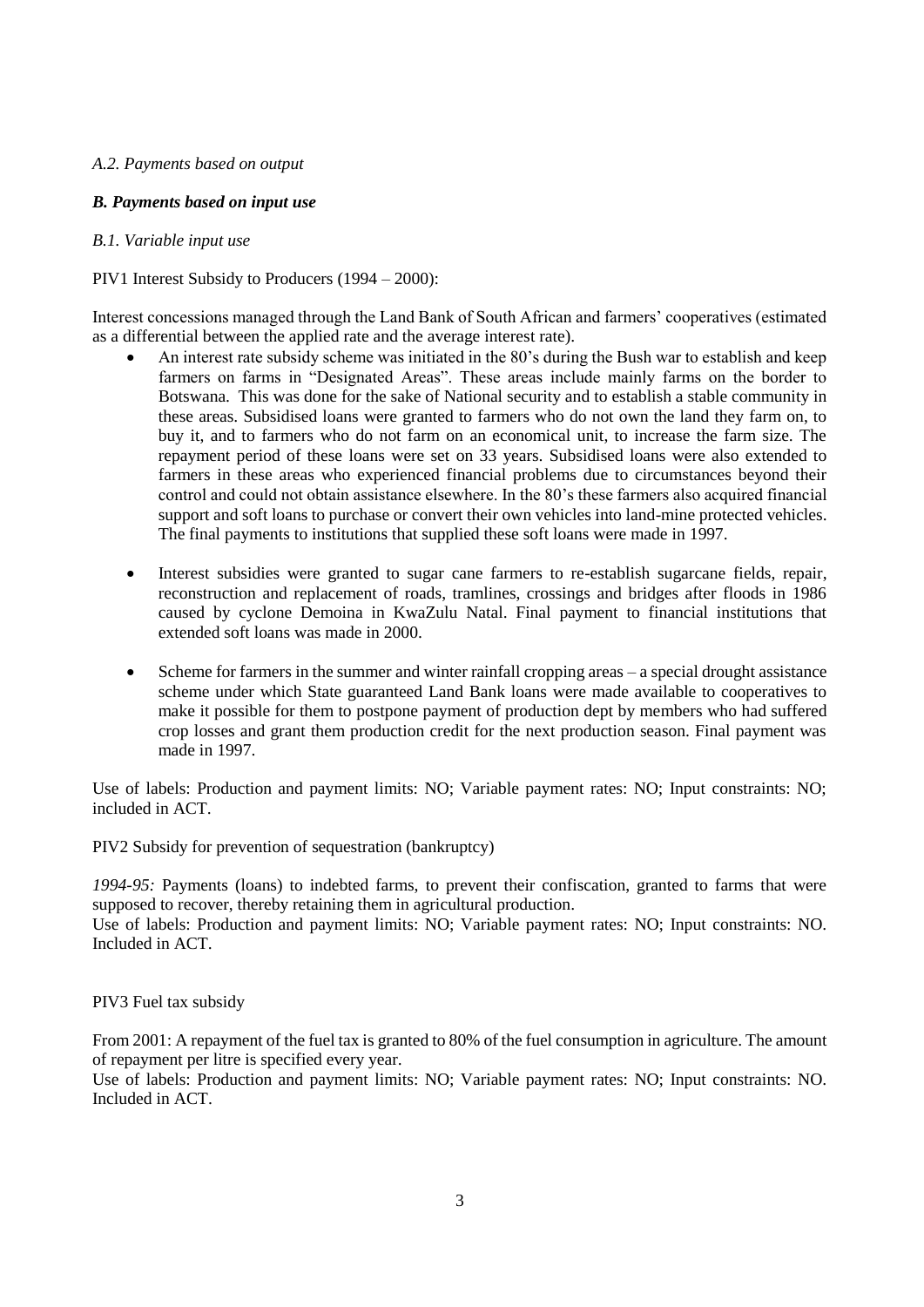## *A.2. Payments based on output*

## *B. Payments based on input use*

## *B.1. Variable input use*

## PIV1 Interest Subsidy to Producers (1994 – 2000):

Interest concessions managed through the Land Bank of South African and farmers' cooperatives (estimated as a differential between the applied rate and the average interest rate).

- An interest rate subsidy scheme was initiated in the 80's during the Bush war to establish and keep farmers on farms in "Designated Areas". These areas include mainly farms on the border to Botswana. This was done for the sake of National security and to establish a stable community in these areas. Subsidised loans were granted to farmers who do not own the land they farm on, to buy it, and to farmers who do not farm on an economical unit, to increase the farm size. The repayment period of these loans were set on 33 years. Subsidised loans were also extended to farmers in these areas who experienced financial problems due to circumstances beyond their control and could not obtain assistance elsewhere. In the 80's these farmers also acquired financial support and soft loans to purchase or convert their own vehicles into land-mine protected vehicles. The final payments to institutions that supplied these soft loans were made in 1997.
- Interest subsidies were granted to sugar cane farmers to re-establish sugarcane fields, repair, reconstruction and replacement of roads, tramlines, crossings and bridges after floods in 1986 caused by cyclone Demoina in KwaZulu Natal. Final payment to financial institutions that extended soft loans was made in 2000.
- Scheme for farmers in the summer and winter rainfall cropping areas a special drought assistance scheme under which State guaranteed Land Bank loans were made available to cooperatives to make it possible for them to postpone payment of production dept by members who had suffered crop losses and grant them production credit for the next production season. Final payment was made in 1997.

Use of labels: Production and payment limits: NO; Variable payment rates: NO; Input constraints: NO; included in ACT.

PIV2 Subsidy for prevention of sequestration (bankruptcy)

*1994-95:* Payments (loans) to indebted farms, to prevent their confiscation, granted to farms that were supposed to recover, thereby retaining them in agricultural production.

Use of labels: Production and payment limits: NO; Variable payment rates: NO; Input constraints: NO. Included in ACT.

## PIV3 Fuel tax subsidy

From 2001: A repayment of the fuel tax is granted to 80% of the fuel consumption in agriculture. The amount of repayment per litre is specified every year.

Use of labels: Production and payment limits: NO; Variable payment rates: NO; Input constraints: NO. Included in ACT.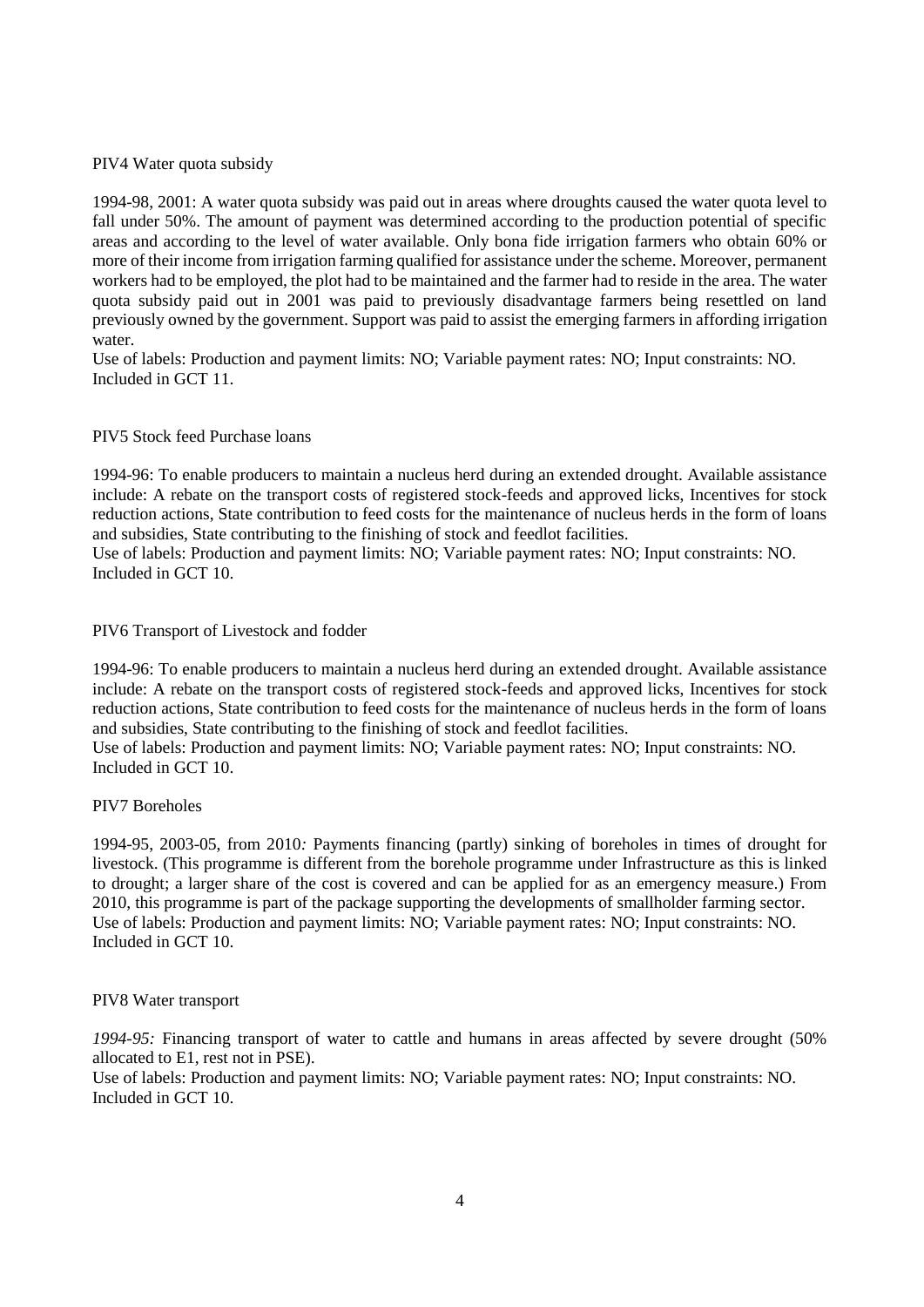## PIV4 Water quota subsidy

1994-98, 2001: A water quota subsidy was paid out in areas where droughts caused the water quota level to fall under 50%. The amount of payment was determined according to the production potential of specific areas and according to the level of water available. Only bona fide irrigation farmers who obtain 60% or more of their income from irrigation farming qualified for assistance under the scheme. Moreover, permanent workers had to be employed, the plot had to be maintained and the farmer had to reside in the area. The water quota subsidy paid out in 2001 was paid to previously disadvantage farmers being resettled on land previously owned by the government. Support was paid to assist the emerging farmers in affording irrigation water.

Use of labels: Production and payment limits: NO; Variable payment rates: NO; Input constraints: NO. Included in GCT 11.

## PIV5 Stock feed Purchase loans

1994-96: To enable producers to maintain a nucleus herd during an extended drought. Available assistance include: A rebate on the transport costs of registered stock-feeds and approved licks, Incentives for stock reduction actions, State contribution to feed costs for the maintenance of nucleus herds in the form of loans and subsidies, State contributing to the finishing of stock and feedlot facilities.

Use of labels: Production and payment limits: NO; Variable payment rates: NO; Input constraints: NO. Included in GCT 10.

## PIV6 Transport of Livestock and fodder

1994-96: To enable producers to maintain a nucleus herd during an extended drought. Available assistance include: A rebate on the transport costs of registered stock-feeds and approved licks, Incentives for stock reduction actions, State contribution to feed costs for the maintenance of nucleus herds in the form of loans and subsidies, State contributing to the finishing of stock and feedlot facilities.

Use of labels: Production and payment limits: NO; Variable payment rates: NO; Input constraints: NO. Included in GCT 10.

### PIV7 Boreholes

1994-95, 2003-05, from 2010*:* Payments financing (partly) sinking of boreholes in times of drought for livestock. (This programme is different from the borehole programme under Infrastructure as this is linked to drought; a larger share of the cost is covered and can be applied for as an emergency measure.) From 2010, this programme is part of the package supporting the developments of smallholder farming sector. Use of labels: Production and payment limits: NO; Variable payment rates: NO; Input constraints: NO. Included in GCT 10.

### PIV8 Water transport

*1994-95:* Financing transport of water to cattle and humans in areas affected by severe drought (50% allocated to E1, rest not in PSE).

Use of labels: Production and payment limits: NO; Variable payment rates: NO; Input constraints: NO. Included in GCT 10.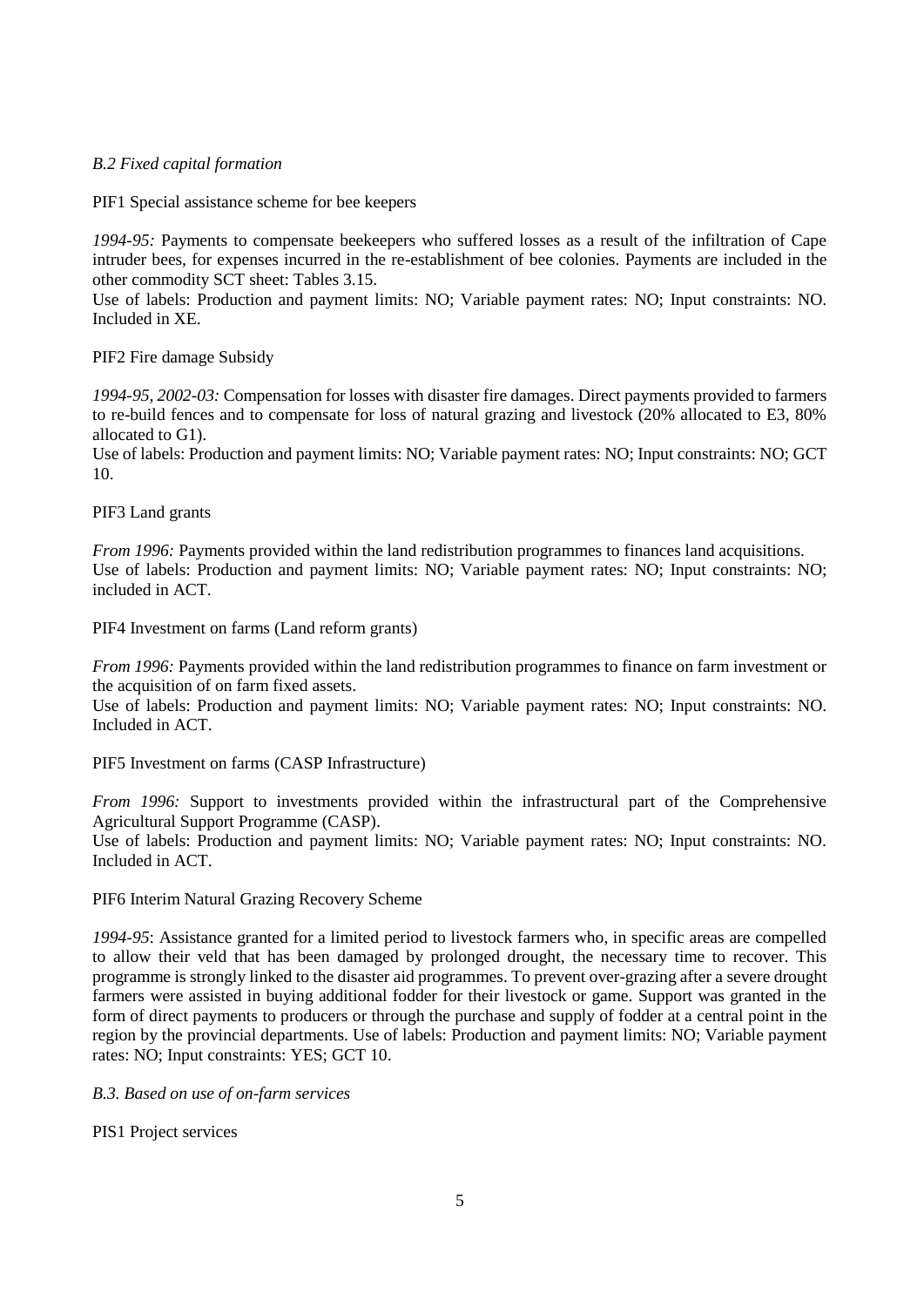# *B.2 Fixed capital formation*

PIF1 Special assistance scheme for bee keepers

*1994-95:* Payments to compensate beekeepers who suffered losses as a result of the infiltration of Cape intruder bees, for expenses incurred in the re-establishment of bee colonies. Payments are included in the other commodity SCT sheet: Tables 3.15.

Use of labels: Production and payment limits: NO; Variable payment rates: NO; Input constraints: NO. Included in XE.

PIF2 Fire damage Subsidy

*1994-95, 2002-03:* Compensation for losses with disaster fire damages. Direct payments provided to farmers to re-build fences and to compensate for loss of natural grazing and livestock (20% allocated to E3, 80% allocated to G1).

Use of labels: Production and payment limits: NO; Variable payment rates: NO; Input constraints: NO; GCT 10.

PIF3 Land grants

*From 1996:* Payments provided within the land redistribution programmes to finances land acquisitions. Use of labels: Production and payment limits: NO; Variable payment rates: NO; Input constraints: NO; included in ACT.

PIF4 Investment on farms (Land reform grants)

*From 1996:* Payments provided within the land redistribution programmes to finance on farm investment or the acquisition of on farm fixed assets.

Use of labels: Production and payment limits: NO; Variable payment rates: NO; Input constraints: NO. Included in ACT.

PIF5 Investment on farms (CASP Infrastructure)

*From 1996:* Support to investments provided within the infrastructural part of the Comprehensive Agricultural Support Programme (CASP).

Use of labels: Production and payment limits: NO; Variable payment rates: NO; Input constraints: NO. Included in ACT.

PIF6 Interim Natural Grazing Recovery Scheme

*1994-95*: Assistance granted for a limited period to livestock farmers who, in specific areas are compelled to allow their veld that has been damaged by prolonged drought, the necessary time to recover. This programme is strongly linked to the disaster aid programmes. To prevent over-grazing after a severe drought farmers were assisted in buying additional fodder for their livestock or game. Support was granted in the form of direct payments to producers or through the purchase and supply of fodder at a central point in the region by the provincial departments. Use of labels: Production and payment limits: NO; Variable payment rates: NO; Input constraints: YES; GCT 10.

*B.3. Based on use of on-farm services*

PIS1 Project services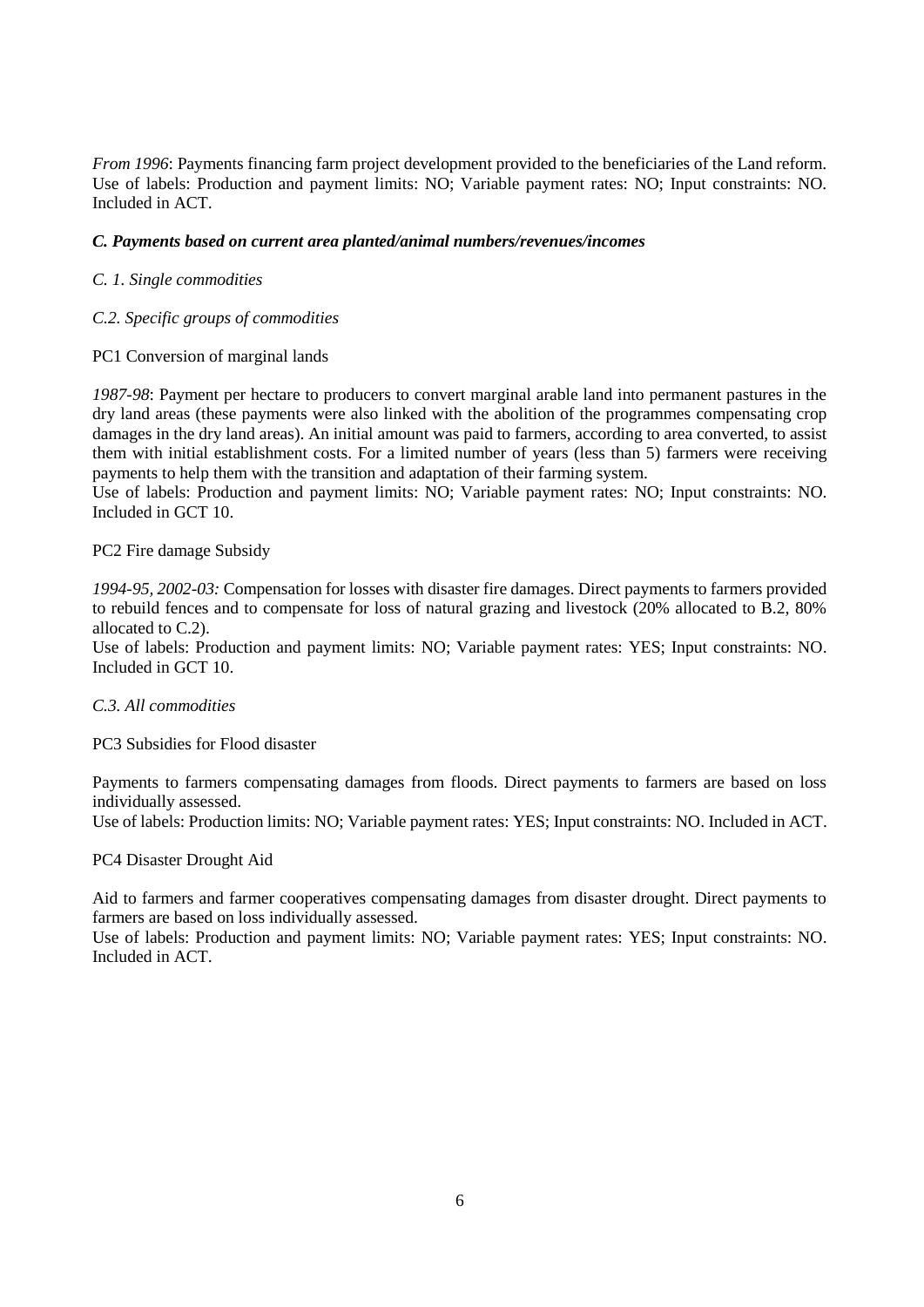*From 1996*: Payments financing farm project development provided to the beneficiaries of the Land reform. Use of labels: Production and payment limits: NO; Variable payment rates: NO; Input constraints: NO. Included in ACT.

## *C. Payments based on current area planted/animal numbers/revenues/incomes*

*C. 1. Single commodities*

## *C.2. Specific groups of commodities*

## PC1 Conversion of marginal lands

*1987-98*: Payment per hectare to producers to convert marginal arable land into permanent pastures in the dry land areas (these payments were also linked with the abolition of the programmes compensating crop damages in the dry land areas). An initial amount was paid to farmers, according to area converted, to assist them with initial establishment costs. For a limited number of years (less than 5) farmers were receiving payments to help them with the transition and adaptation of their farming system.

Use of labels: Production and payment limits: NO; Variable payment rates: NO; Input constraints: NO. Included in GCT 10.

PC2 Fire damage Subsidy

*1994-95, 2002-03:* Compensation for losses with disaster fire damages. Direct payments to farmers provided to rebuild fences and to compensate for loss of natural grazing and livestock (20% allocated to B.2, 80% allocated to C.2).

Use of labels: Production and payment limits: NO; Variable payment rates: YES; Input constraints: NO. Included in GCT 10.

## *C.3. All commodities*

PC3 Subsidies for Flood disaster

Payments to farmers compensating damages from floods. Direct payments to farmers are based on loss individually assessed.

Use of labels: Production limits: NO; Variable payment rates: YES; Input constraints: NO. Included in ACT.

### PC4 Disaster Drought Aid

Aid to farmers and farmer cooperatives compensating damages from disaster drought. Direct payments to farmers are based on loss individually assessed.

Use of labels: Production and payment limits: NO; Variable payment rates: YES; Input constraints: NO. Included in ACT.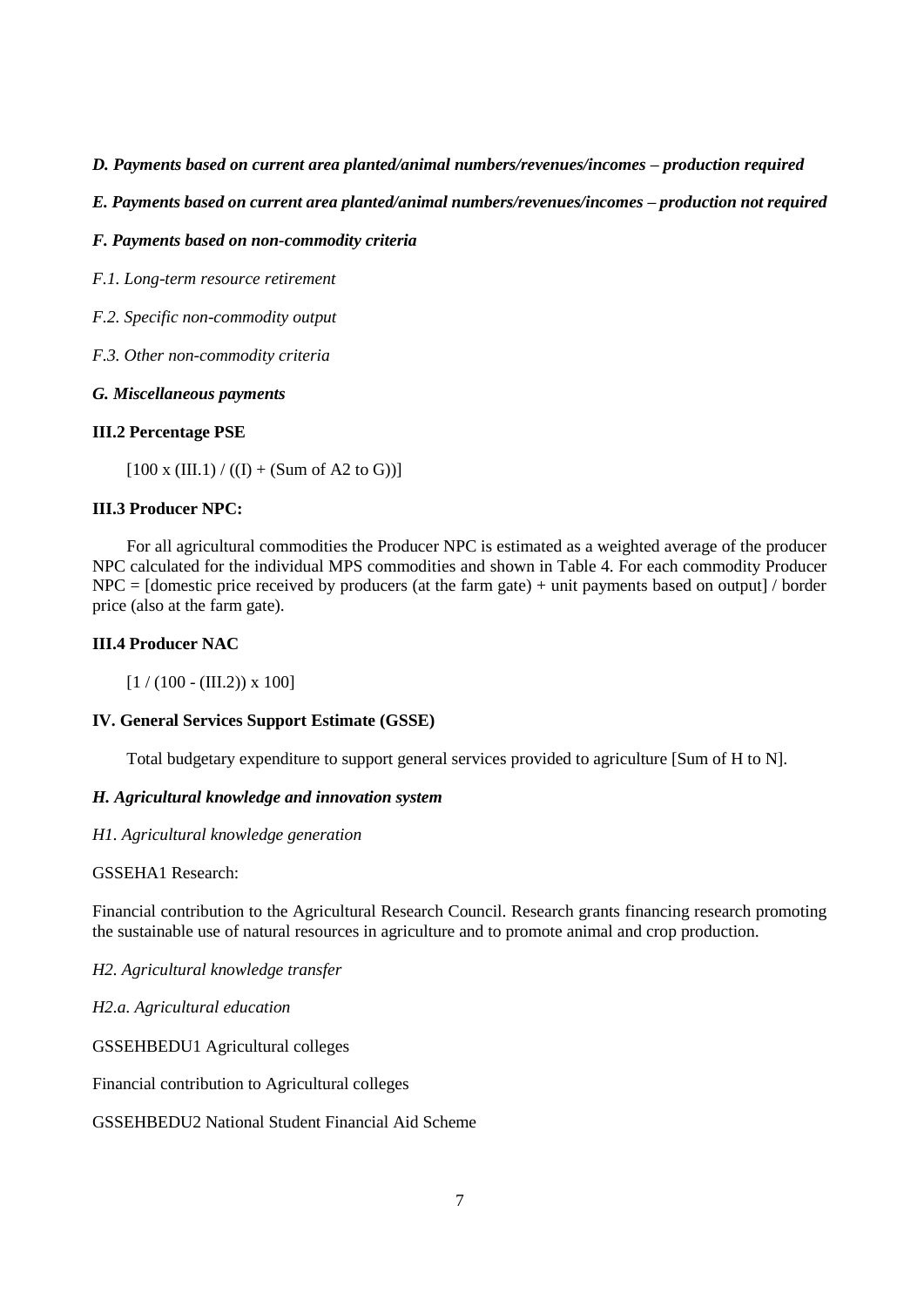## *D. Payments based on current area planted/animal numbers/revenues/incomes – production required*

*E. Payments based on current area planted/animal numbers/revenues/incomes – production not required*

# *F. Payments based on non-commodity criteria*

*F.1. Long-term resource retirement*

*F.2. Specific non-commodity output*

*F.3. Other non-commodity criteria*

## *G. Miscellaneous payments*

# **III.2 Percentage PSE**

 $[100 \times (III.1) / ((I) + (Sum of A2 to G))]$ 

# **III.3 Producer NPC:**

For all agricultural commodities the Producer NPC is estimated as a weighted average of the producer NPC calculated for the individual MPS commodities and shown in Table 4. For each commodity Producer  $NPC =$  [domestic price received by producers (at the farm gate) + unit payments based on output] / border price (also at the farm gate).

# **III.4 Producer NAC**

 $[1 / (100 - (III.2)) \times 100]$ 

## **IV. General Services Support Estimate (GSSE)**

Total budgetary expenditure to support general services provided to agriculture [Sum of H to N].

# *H. Agricultural knowledge and innovation system*

## *H1. Agricultural knowledge generation*

## GSSEHA1 Research:

Financial contribution to the Agricultural Research Council. Research grants financing research promoting the sustainable use of natural resources in agriculture and to promote animal and crop production.

*H2. Agricultural knowledge transfer*

*H2.a. Agricultural education*

GSSEHBEDU1 Agricultural colleges

Financial contribution to Agricultural colleges

GSSEHBEDU2 National Student Financial Aid Scheme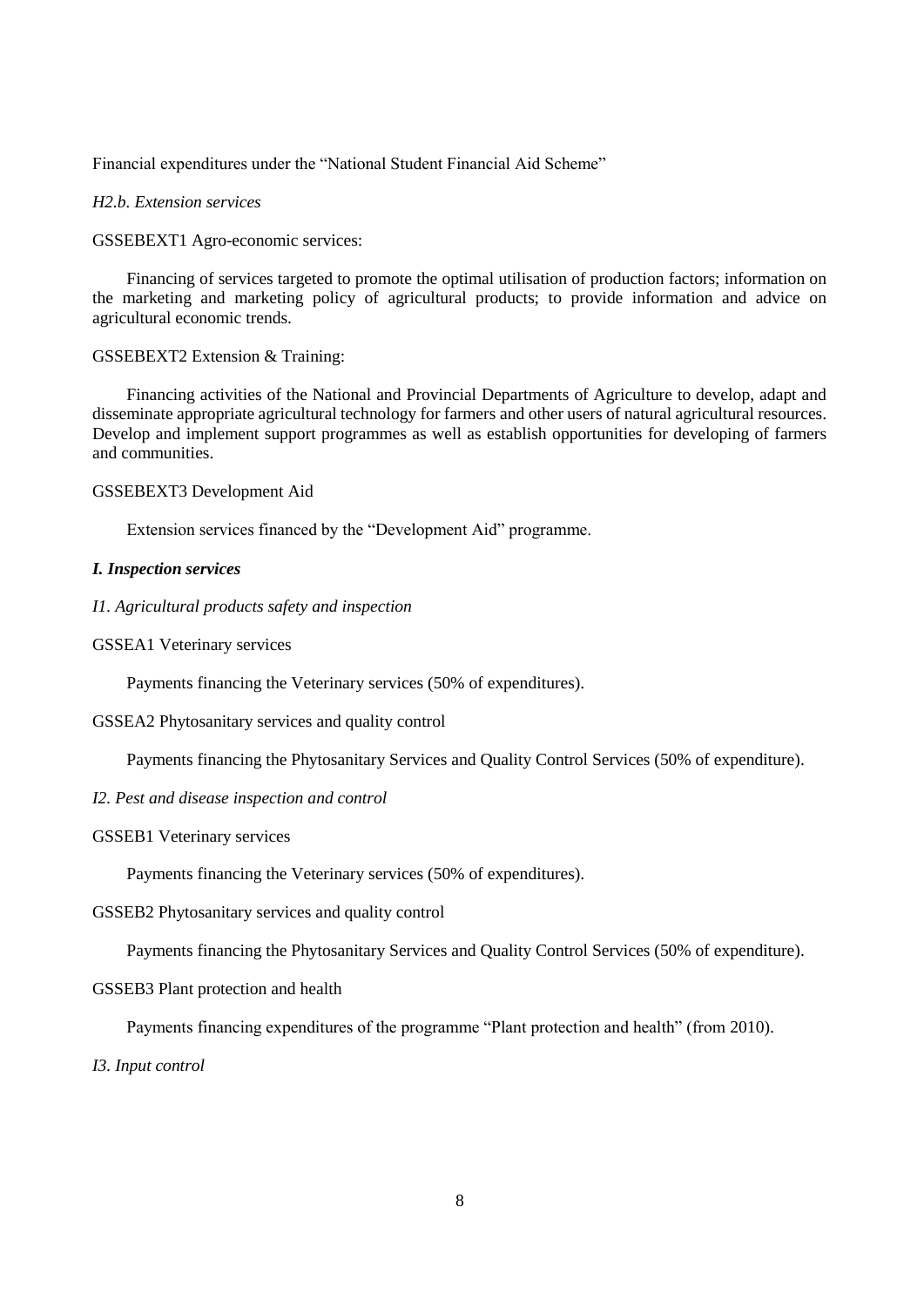Financial expenditures under the "National Student Financial Aid Scheme"

## *H2.b. Extension services*

GSSEBEXT1 Agro-economic services:

Financing of services targeted to promote the optimal utilisation of production factors; information on the marketing and marketing policy of agricultural products; to provide information and advice on agricultural economic trends.

### GSSEBEXT2 Extension & Training:

Financing activities of the National and Provincial Departments of Agriculture to develop, adapt and disseminate appropriate agricultural technology for farmers and other users of natural agricultural resources. Develop and implement support programmes as well as establish opportunities for developing of farmers and communities.

### GSSEBEXT3 Development Aid

Extension services financed by the "Development Aid" programme.

## *I. Inspection services*

## *I1. Agricultural products safety and inspection*

GSSEA1 Veterinary services

Payments financing the Veterinary services (50% of expenditures).

## GSSEA2 Phytosanitary services and quality control

Payments financing the Phytosanitary Services and Quality Control Services (50% of expenditure).

### *I2. Pest and disease inspection and control*

### GSSEB1 Veterinary services

Payments financing the Veterinary services (50% of expenditures).

GSSEB2 Phytosanitary services and quality control

Payments financing the Phytosanitary Services and Quality Control Services (50% of expenditure).

### GSSEB3 Plant protection and health

Payments financing expenditures of the programme "Plant protection and health" (from 2010).

### *I3. Input control*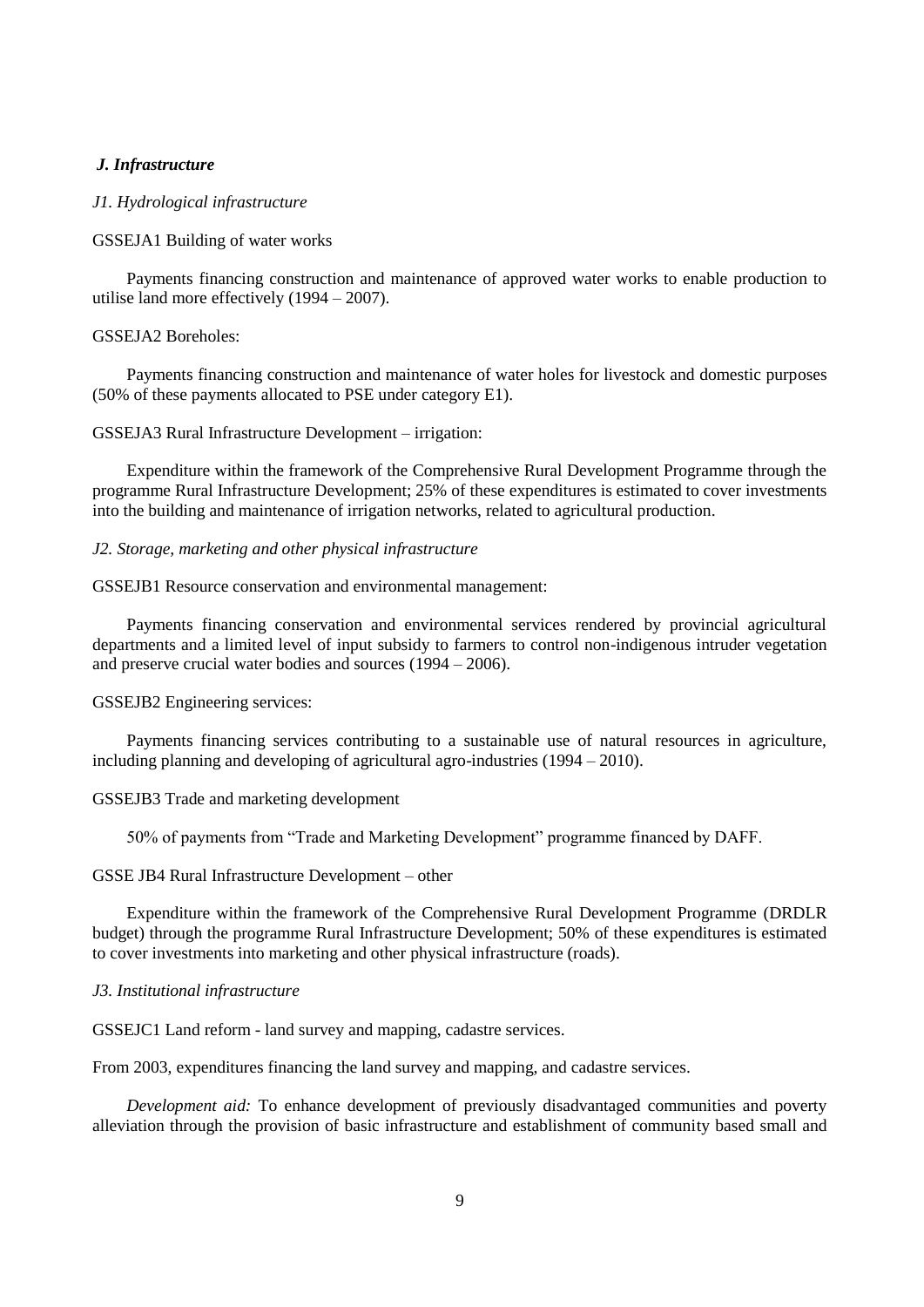### *J. Infrastructure*

### *J1. Hydrological infrastructure*

#### GSSEJA1 Building of water works

Payments financing construction and maintenance of approved water works to enable production to utilise land more effectively (1994 – 2007).

### GSSEJA2 Boreholes:

Payments financing construction and maintenance of water holes for livestock and domestic purposes (50% of these payments allocated to PSE under category E1).

### GSSEJA3 Rural Infrastructure Development – irrigation:

Expenditure within the framework of the Comprehensive Rural Development Programme through the programme Rural Infrastructure Development; 25% of these expenditures is estimated to cover investments into the building and maintenance of irrigation networks, related to agricultural production.

#### *J2. Storage, marketing and other physical infrastructure*

### GSSEJB1 Resource conservation and environmental management:

Payments financing conservation and environmental services rendered by provincial agricultural departments and a limited level of input subsidy to farmers to control non-indigenous intruder vegetation and preserve crucial water bodies and sources (1994 – 2006).

## GSSEJB2 Engineering services:

Payments financing services contributing to a sustainable use of natural resources in agriculture, including planning and developing of agricultural agro-industries (1994 – 2010).

#### GSSEJB3 Trade and marketing development

50% of payments from "Trade and Marketing Development" programme financed by DAFF.

### GSSE JB4 Rural Infrastructure Development – other

Expenditure within the framework of the Comprehensive Rural Development Programme (DRDLR budget) through the programme Rural Infrastructure Development; 50% of these expenditures is estimated to cover investments into marketing and other physical infrastructure (roads).

### *J3. Institutional infrastructure*

GSSEJC1 Land reform - land survey and mapping, cadastre services.

From 2003, expenditures financing the land survey and mapping, and cadastre services.

*Development aid:* To enhance development of previously disadvantaged communities and poverty alleviation through the provision of basic infrastructure and establishment of community based small and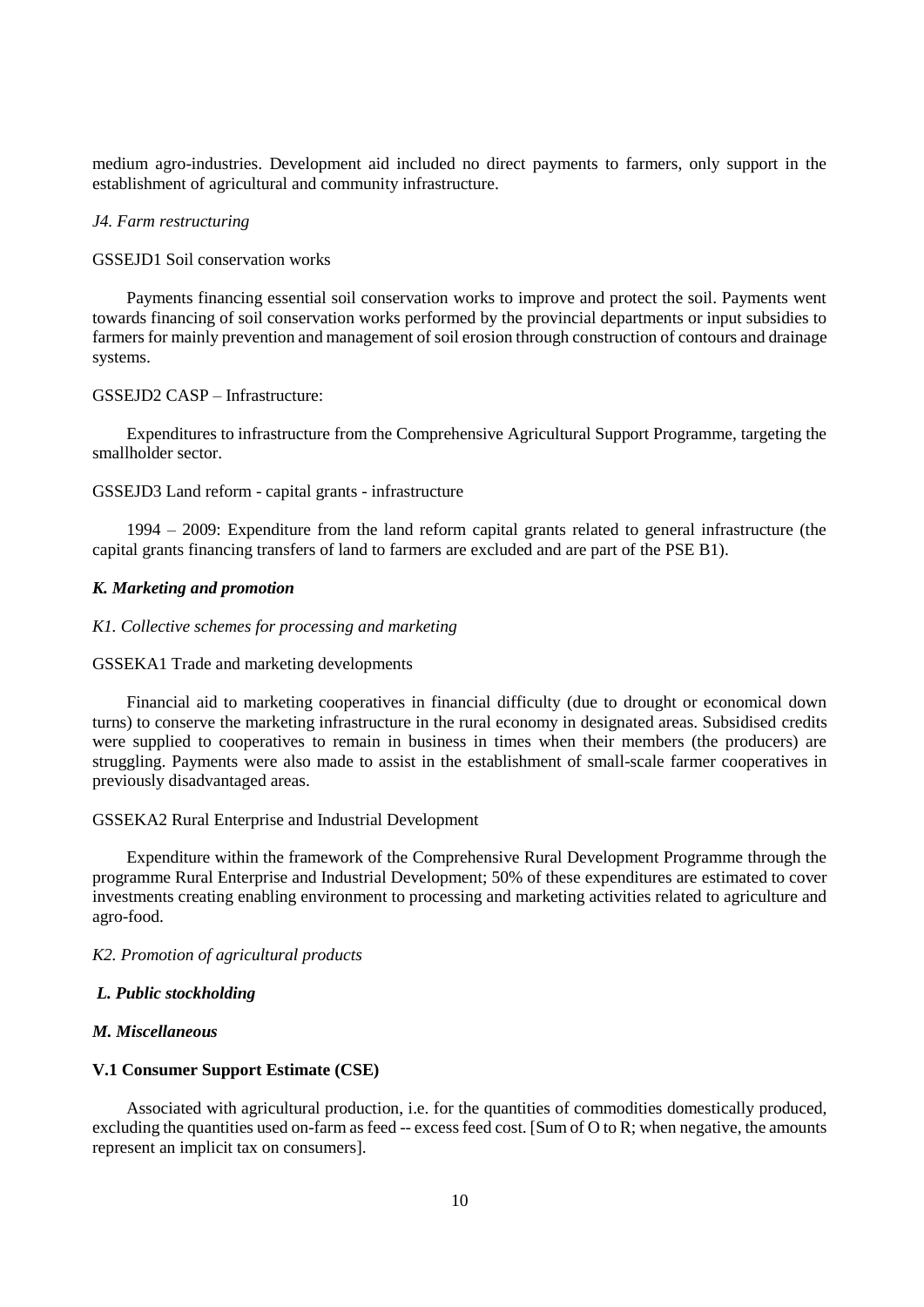medium agro-industries. Development aid included no direct payments to farmers, only support in the establishment of agricultural and community infrastructure.

#### *J4. Farm restructuring*

#### GSSEJD1 Soil conservation works

Payments financing essential soil conservation works to improve and protect the soil. Payments went towards financing of soil conservation works performed by the provincial departments or input subsidies to farmers for mainly prevention and management of soil erosion through construction of contours and drainage systems.

#### GSSEJD2 CASP – Infrastructure:

Expenditures to infrastructure from the Comprehensive Agricultural Support Programme, targeting the smallholder sector.

### GSSEJD3 Land reform - capital grants - infrastructure

1994 – 2009: Expenditure from the land reform capital grants related to general infrastructure (the capital grants financing transfers of land to farmers are excluded and are part of the PSE B1).

### *K. Marketing and promotion*

### *K1. Collective schemes for processing and marketing*

#### GSSEKA1 Trade and marketing developments

Financial aid to marketing cooperatives in financial difficulty (due to drought or economical down turns) to conserve the marketing infrastructure in the rural economy in designated areas. Subsidised credits were supplied to cooperatives to remain in business in times when their members (the producers) are struggling. Payments were also made to assist in the establishment of small-scale farmer cooperatives in previously disadvantaged areas.

#### GSSEKA2 Rural Enterprise and Industrial Development

Expenditure within the framework of the Comprehensive Rural Development Programme through the programme Rural Enterprise and Industrial Development; 50% of these expenditures are estimated to cover investments creating enabling environment to processing and marketing activities related to agriculture and agro-food.

#### *K2. Promotion of agricultural products*

#### *L. Public stockholding*

#### *M. Miscellaneous*

### **V.1 Consumer Support Estimate (CSE)**

Associated with agricultural production, i.e. for the quantities of commodities domestically produced, excluding the quantities used on-farm as feed -- excess feed cost. [Sum of O to R; when negative, the amounts represent an implicit tax on consumers].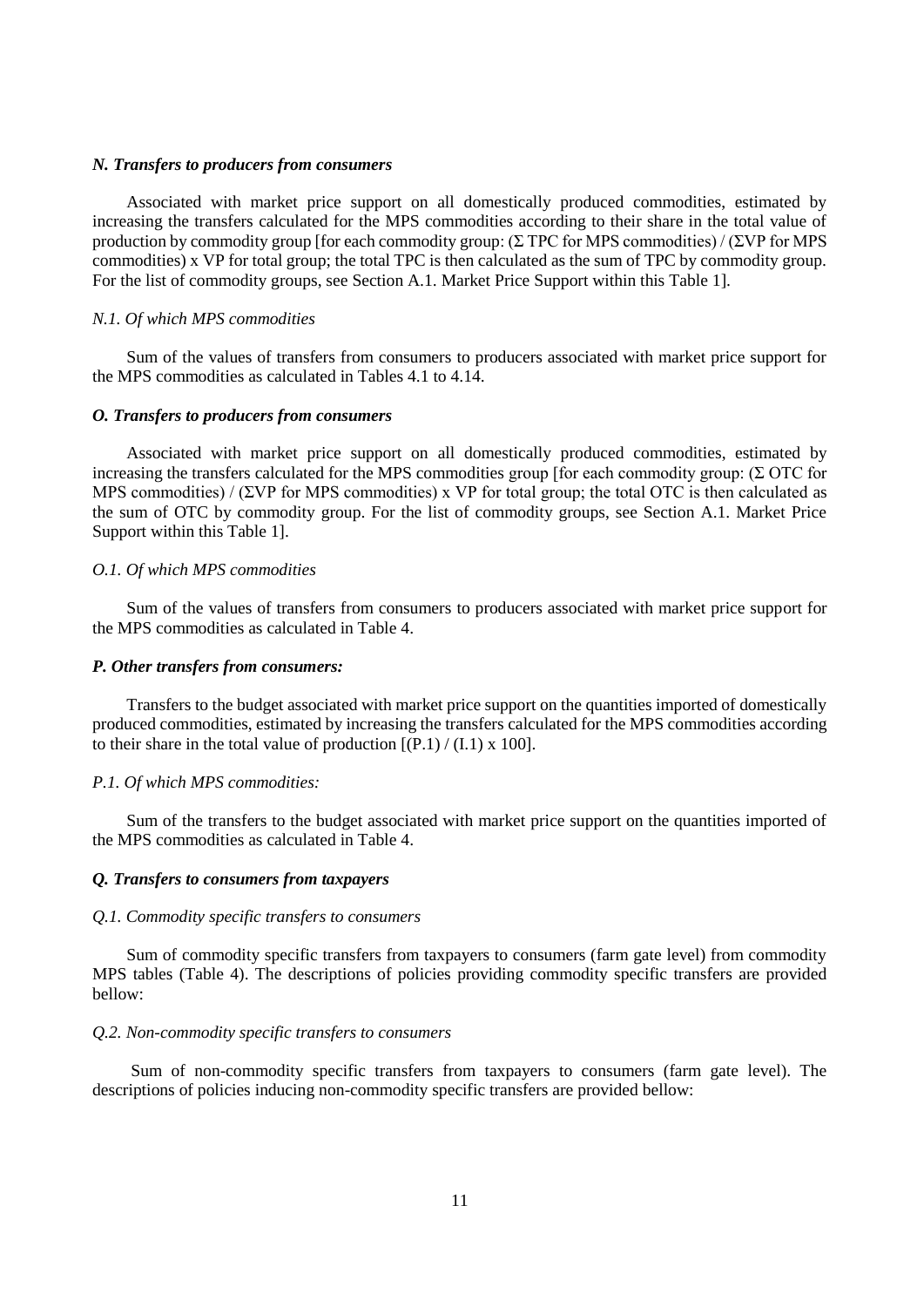### *N. Transfers to producers from consumers*

Associated with market price support on all domestically produced commodities, estimated by increasing the transfers calculated for the MPS commodities according to their share in the total value of production by commodity group [for each commodity group: (Σ TPC for MPS commodities) / (ΣVP for MPS commodities) x VP for total group; the total TPC is then calculated as the sum of TPC by commodity group. For the list of commodity groups, see Section A.1. Market Price Support within this Table 1].

### *N.1. Of which MPS commodities*

Sum of the values of transfers from consumers to producers associated with market price support for the MPS commodities as calculated in Tables 4.1 to 4.14.

### *O. Transfers to producers from consumers*

Associated with market price support on all domestically produced commodities, estimated by increasing the transfers calculated for the MPS commodities group [for each commodity group: (Σ OTC for MPS commodities) /  $(\Sigma VP \text{ for MPS) or VP}$  for total group; the total OTC is then calculated as the sum of OTC by commodity group. For the list of commodity groups, see Section A.1. Market Price Support within this Table 1].

### *O.1. Of which MPS commodities*

Sum of the values of transfers from consumers to producers associated with market price support for the MPS commodities as calculated in Table 4.

#### *P. Other transfers from consumers:*

Transfers to the budget associated with market price support on the quantities imported of domestically produced commodities, estimated by increasing the transfers calculated for the MPS commodities according to their share in the total value of production  $[(P.1) / (I.1) \times 100]$ .

#### *P.1. Of which MPS commodities:*

Sum of the transfers to the budget associated with market price support on the quantities imported of the MPS commodities as calculated in Table 4.

### *Q. Transfers to consumers from taxpayers*

### *Q.1. Commodity specific transfers to consumers*

Sum of commodity specific transfers from taxpayers to consumers (farm gate level) from commodity MPS tables (Table 4). The descriptions of policies providing commodity specific transfers are provided bellow:

### *Q.2. Non-commodity specific transfers to consumers*

Sum of non-commodity specific transfers from taxpayers to consumers (farm gate level). The descriptions of policies inducing non-commodity specific transfers are provided bellow: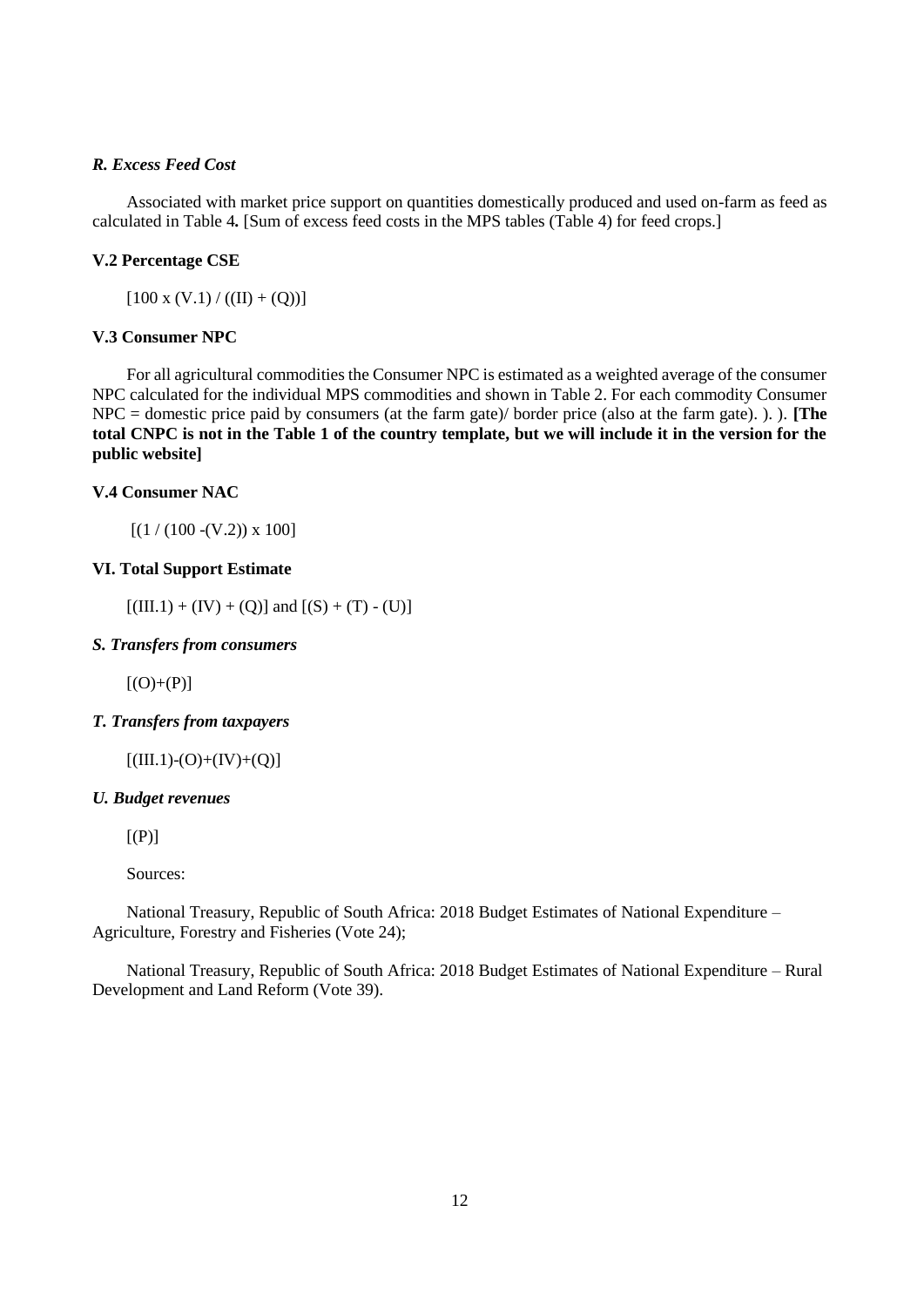## *R. Excess Feed Cost*

Associated with market price support on quantities domestically produced and used on-farm as feed as calculated in Table 4*.* [Sum of excess feed costs in the MPS tables (Table 4) for feed crops.]

### **V.2 Percentage CSE**

 $[100 x (V.1) / ((II) + (Q))]$ 

### **V.3 Consumer NPC**

For all agricultural commodities the Consumer NPC is estimated as a weighted average of the consumer NPC calculated for the individual MPS commodities and shown in Table 2. For each commodity Consumer NPC = domestic price paid by consumers (at the farm gate)/ border price (also at the farm gate). ). ). **[The total CNPC is not in the Table 1 of the country template, but we will include it in the version for the public website]** 

### **V.4 Consumer NAC**

 $[(1 / (100 - (V.2)) \times 100]$ 

## **VI. Total Support Estimate**

 $[(III.1) + (IV) + (Q)]$  and  $[(S) + (T) - (U)]$ 

### *S. Transfers from consumers*

 $[(O)+(P)]$ 

### *T. Transfers from taxpayers*

 $[(III.1)-(O)+(IV)+(O)]$ 

### *U. Budget revenues*

 $[(P)]$ 

Sources:

National Treasury, Republic of South Africa: 2018 Budget Estimates of National Expenditure – Agriculture, Forestry and Fisheries (Vote 24);

National Treasury, Republic of South Africa: 2018 Budget Estimates of National Expenditure – Rural Development and Land Reform (Vote 39).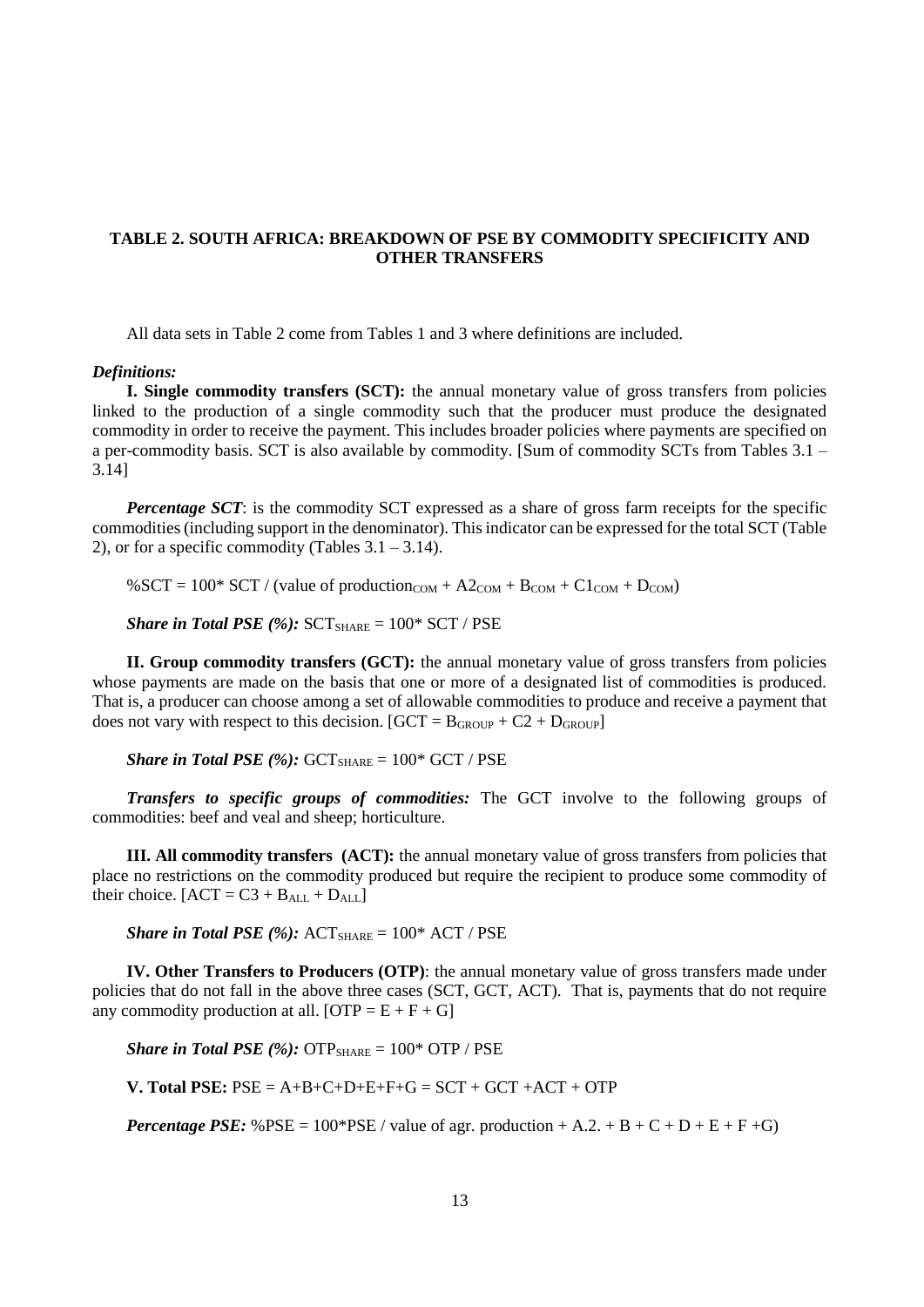## **TABLE 2. SOUTH AFRICA: BREAKDOWN OF PSE BY COMMODITY SPECIFICITY AND OTHER TRANSFERS**

All data sets in Table 2 come from Tables 1 and 3 where definitions are included.

#### *Definitions:*

**I. Single commodity transfers (SCT):** the annual monetary value of gross transfers from policies linked to the production of a single commodity such that the producer must produce the designated commodity in order to receive the payment. This includes broader policies where payments are specified on a per-commodity basis. SCT is also available by commodity. [Sum of commodity SCTs from Tables 3.1 – 3.14]

*Percentage SCT*: is the commodity SCT expressed as a share of gross farm receipts for the specific commodities (including support in the denominator). This indicator can be expressed for the total SCT (Table 2), or for a specific commodity (Tables  $3.1 - 3.14$ ).

%SCT =  $100*$  SCT / (value of production<sub>COM</sub> +  $A2<sub>COM</sub> + B<sub>COM</sub> + C1<sub>COM</sub> + D<sub>COM</sub>$ )

*Share in Total PSE* (%):  $SCT_{SHARE} = 100* SCT / PSE$ 

**II. Group commodity transfers (GCT):** the annual monetary value of gross transfers from policies whose payments are made on the basis that one or more of a designated list of commodities is produced. That is, a producer can choose among a set of allowable commodities to produce and receive a payment that does not vary with respect to this decision.  $[GCT = B_{GROUP} + C2 + D_{GROUP}]$ 

*Share in Total PSE*  $(\%)$ :  $GCT_{SHARE} = 100* GCT / PSE$ 

*Transfers to specific groups of commodities:* The GCT involve to the following groups of commodities: beef and veal and sheep; horticulture.

**III. All commodity transfers (ACT):** the annual monetary value of gross transfers from policies that place no restrictions on the commodity produced but require the recipient to produce some commodity of their choice.  $[ACT = C3 + B<sub>ALL</sub> + D<sub>ALL</sub>]$ 

*Share in Total PSE (%):*  $ACT_{SHARE} = 100*$   $ACT / PSE$ 

**IV. Other Transfers to Producers (OTP)**: the annual monetary value of gross transfers made under policies that do not fall in the above three cases (SCT, GCT, ACT). That is, payments that do not require any commodity production at all.  $[OTP = E + F + G]$ 

*Share in Total PSE (%):*  $\text{OTP}_{\text{SHARE}} = 100^* \text{ OTP} / \text{PSE}$ 

**V. Total PSE:**  $PSE = A+B+C+D+E+F+G = SCT + GCT + ACT + OTP$ 

*Percentage PSE:*  $\%$  PSE = 100\*PSE / value of agr. production + A.2. + B + C + D + E + F + G)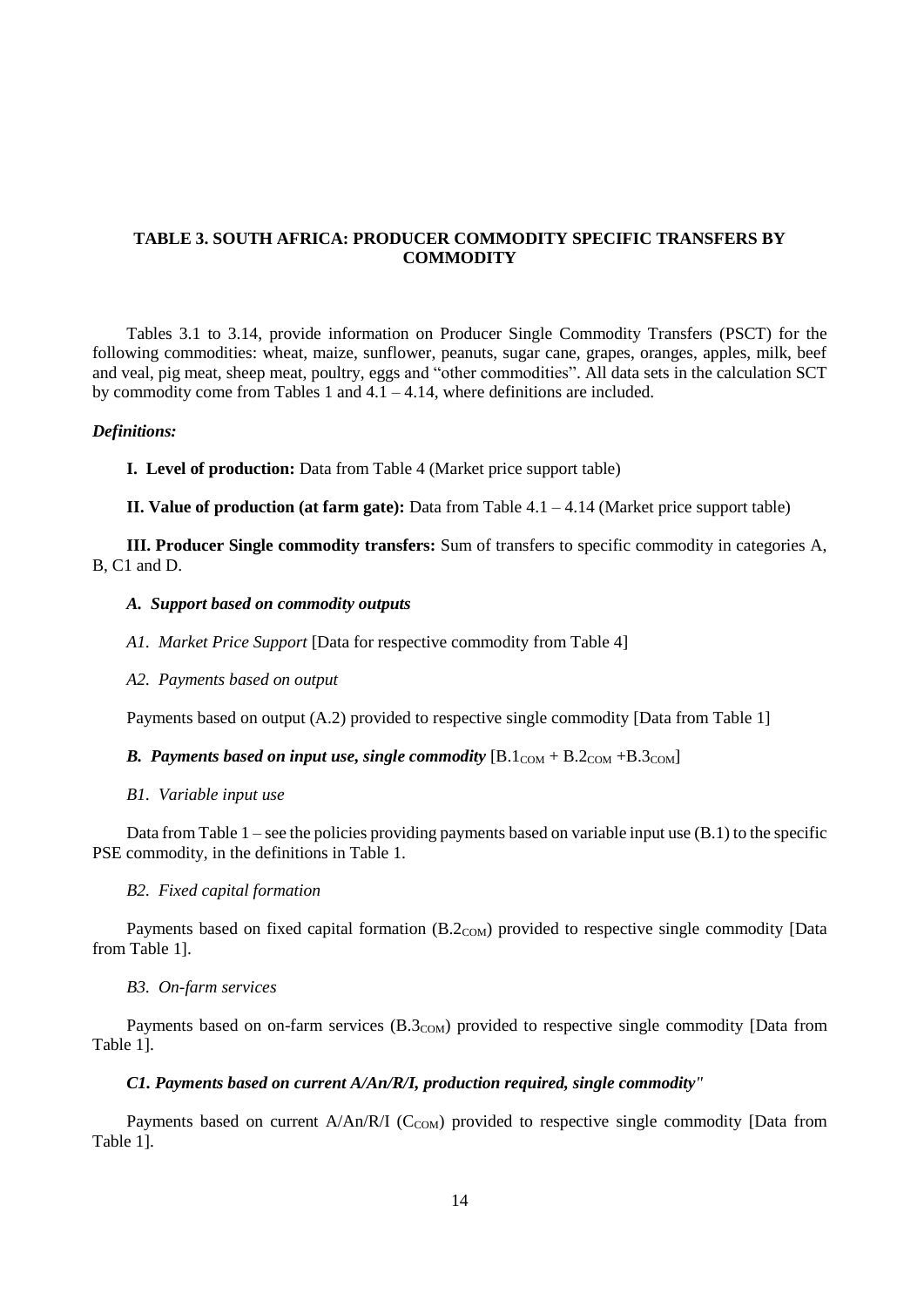## **TABLE 3. SOUTH AFRICA: PRODUCER COMMODITY SPECIFIC TRANSFERS BY COMMODITY**

Tables 3.1 to 3.14, provide information on Producer Single Commodity Transfers (PSCT) for the following commodities: wheat, maize, sunflower, peanuts, sugar cane, grapes, oranges, apples, milk, beef and veal, pig meat, sheep meat, poultry, eggs and "other commodities". All data sets in the calculation SCT by commodity come from Tables 1 and  $4.1 - 4.14$ , where definitions are included.

#### *Definitions:*

**I. Level of production:** Data from Table 4 (Market price support table)

**II. Value of production (at farm gate):** Data from Table 4.1 – 4.14 (Market price support table)

**III. Producer Single commodity transfers:** Sum of transfers to specific commodity in categories A, B, C1 and D.

### *A. Support based on commodity outputs*

*A1. Market Price Support* [Data for respective commodity from Table 4]

*A2. Payments based on output* 

Payments based on output (A.2) provided to respective single commodity [Data from Table 1]

### *B. Payments based on input use, single commodity*  $[B.1_{COM} + B.2_{COM} + B.3_{COM}]$

### *B1. Variable input use*

Data from Table  $1$  – see the policies providing payments based on variable input use  $(B.1)$  to the specific PSE commodity, in the definitions in Table 1.

### *B2. Fixed capital formation*

Payments based on fixed capital formation (B.2<sub>COM</sub>) provided to respective single commodity [Data from Table 1].

### *B3. On-farm services*

Payments based on on-farm services (B.3<sub>COM</sub>) provided to respective single commodity [Data from Table 1].

#### *C1. Payments based on current A/An/R/I, production required, single commodity"*

Payments based on current  $A/An/R/I$  (C<sub>COM</sub>) provided to respective single commodity [Data from Table 1].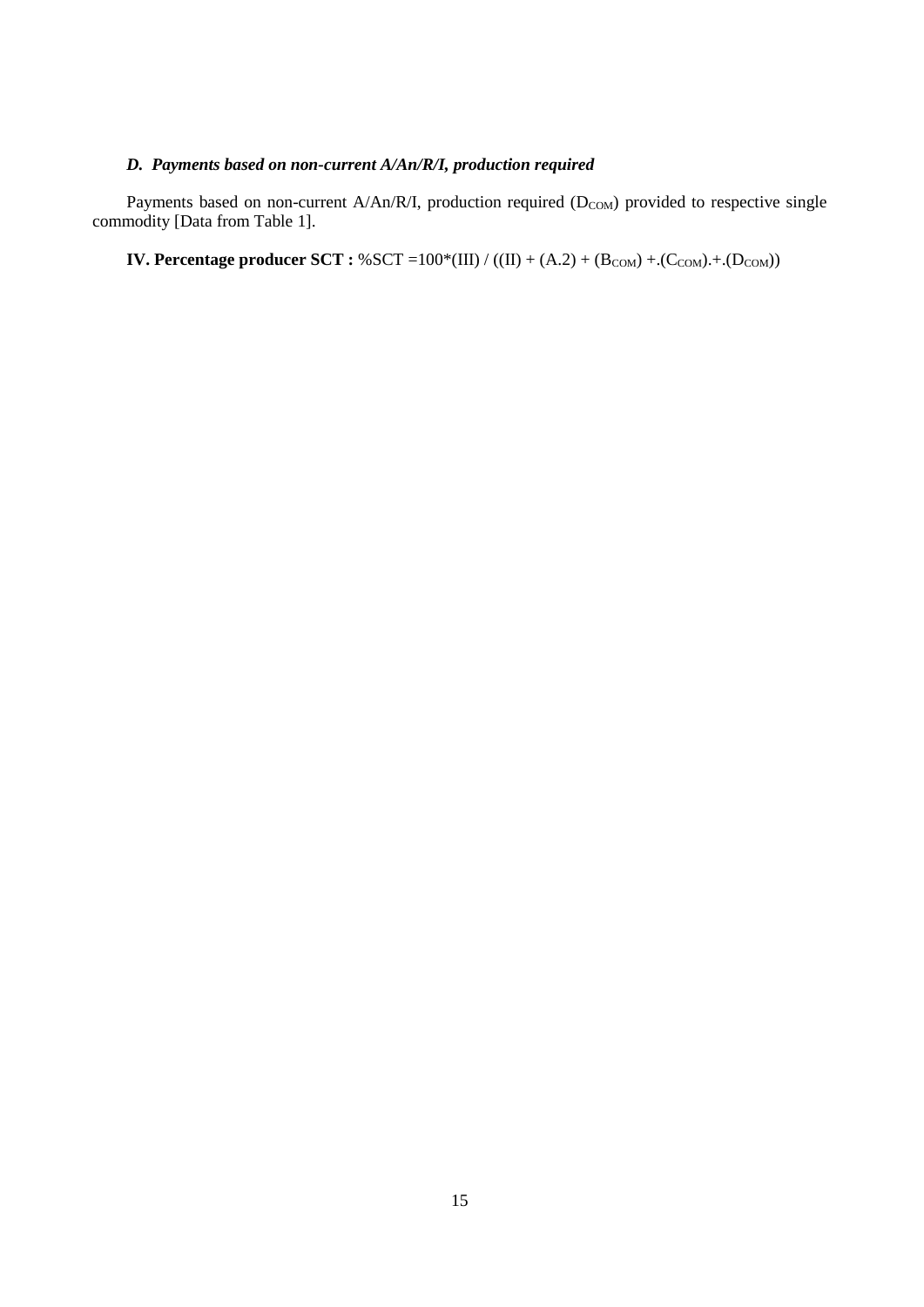# *D. Payments based on non-current A/An/R/I, production required*

Payments based on non-current A/An/R/I, production required  $(D_{COM})$  provided to respective single commodity [Data from Table 1].

**IV. Percentage producer SCT** :  $%$  SCT =100 $*(III) / ((II) + (A.2) + (B_{COM}) + (C_{COM}) + (D_{COM}))$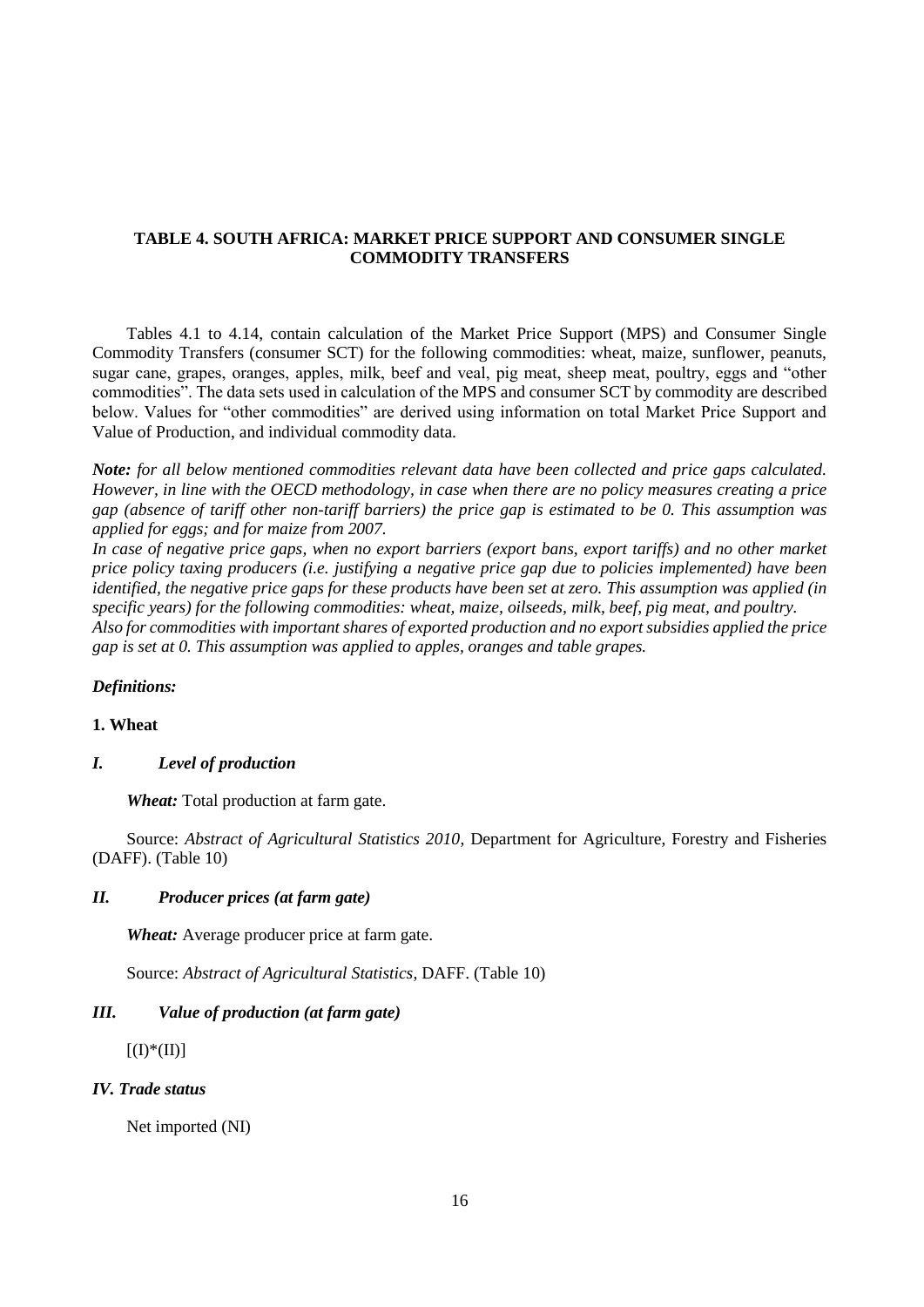## **TABLE 4. SOUTH AFRICA: MARKET PRICE SUPPORT AND CONSUMER SINGLE COMMODITY TRANSFERS**

Tables 4.1 to 4.14, contain calculation of the Market Price Support (MPS) and Consumer Single Commodity Transfers (consumer SCT) for the following commodities: wheat, maize, sunflower, peanuts, sugar cane, grapes, oranges, apples, milk, beef and veal, pig meat, sheep meat, poultry, eggs and "other commodities". The data sets used in calculation of the MPS and consumer SCT by commodity are described below. Values for "other commodities" are derived using information on total Market Price Support and Value of Production, and individual commodity data.

*Note: for all below mentioned commodities relevant data have been collected and price gaps calculated. However, in line with the OECD methodology, in case when there are no policy measures creating a price gap (absence of tariff other non-tariff barriers) the price gap is estimated to be 0. This assumption was applied for eggs; and for maize from 2007.*

*In case of negative price gaps, when no export barriers (export bans, export tariffs) and no other market price policy taxing producers (i.e. justifying a negative price gap due to policies implemented) have been identified, the negative price gaps for these products have been set at zero. This assumption was applied (in specific years) for the following commodities: wheat, maize, oilseeds, milk, beef, pig meat, and poultry. Also for commodities with important shares of exported production and no export subsidies applied the price gap is set at 0. This assumption was applied to apples, oranges and table grapes.*

### *Definitions:*

## **1. Wheat**

## *I. Level of production*

*Wheat:* Total production at farm gate.

Source: *Abstract of Agricultural Statistics 2010*, Department for Agriculture, Forestry and Fisheries (DAFF). (Table 10)

### *II. Producer prices (at farm gate)*

*Wheat:* Average producer price at farm gate.

Source: *Abstract of Agricultural Statistics*, DAFF. (Table 10)

# *III. Value of production (at farm gate)*

 $[(I)*(II)]$ 

### *IV. Trade status*

Net imported (NI)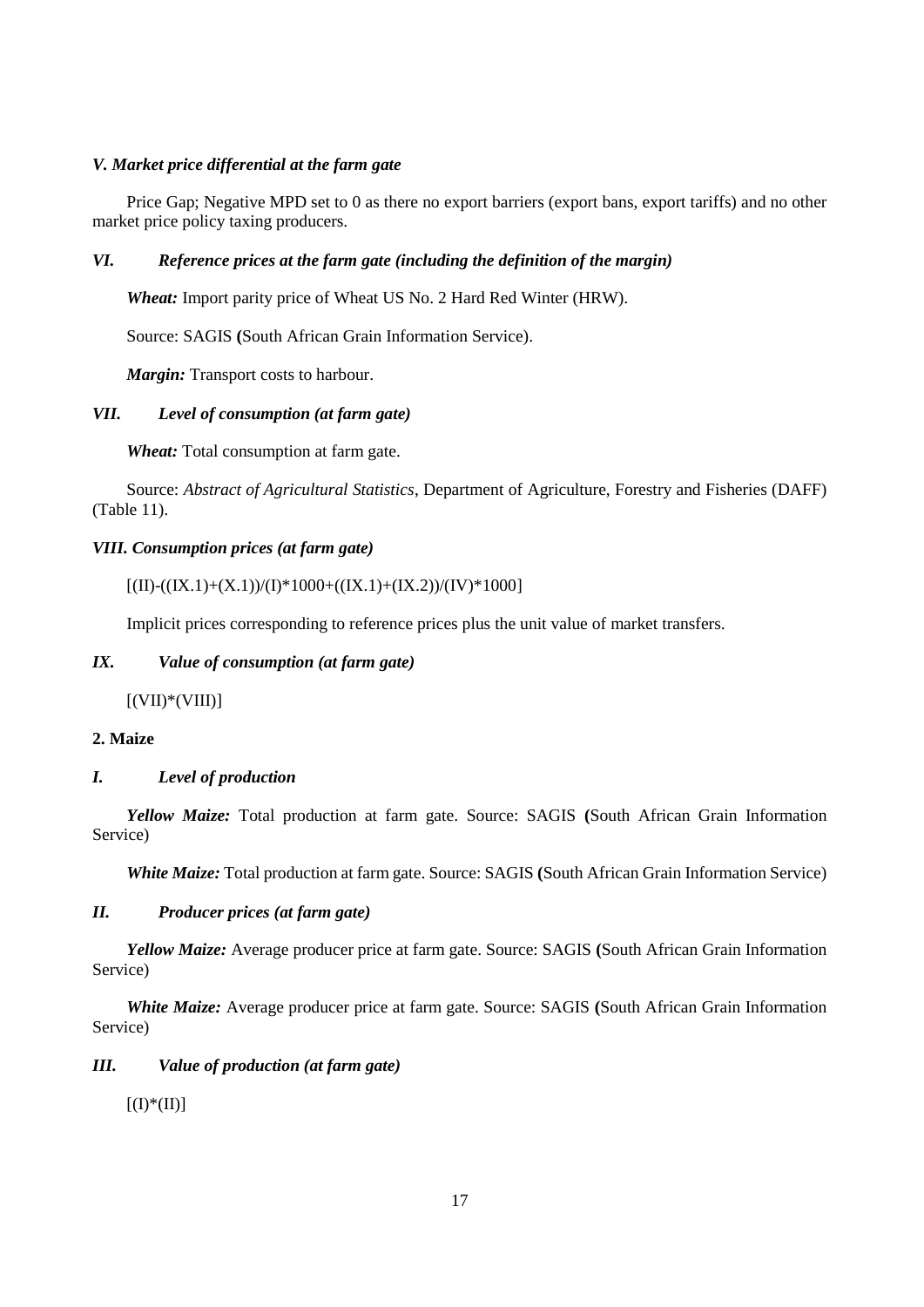## *V. Market price differential at the farm gate*

Price Gap; Negative MPD set to 0 as there no export barriers (export bans, export tariffs) and no other market price policy taxing producers*.*

## *VI. Reference prices at the farm gate (including the definition of the margin)*

*Wheat:* Import parity price of Wheat US No. 2 Hard Red Winter (HRW).

Source: SAGIS **(**South African Grain Information Service).

*Margin:* Transport costs to harbour.

# *VII. Level of consumption (at farm gate)*

*Wheat:* Total consumption at farm gate.

Source: *Abstract of Agricultural Statistics*, Department of Agriculture, Forestry and Fisheries (DAFF) (Table 11).

## *VIII. Consumption prices (at farm gate)*

## $[(II)-((IX.1)+(X.1))/(I)*1000+((IX.1)+(IX.2))/(IV)*1000]$

Implicit prices corresponding to reference prices plus the unit value of market transfers.

# *IX. Value of consumption (at farm gate)*

 $[(VII)*(VIII)]$ 

# **2. Maize**

## *I. Level of production*

*Yellow Maize:* Total production at farm gate. Source: SAGIS **(**South African Grain Information Service)

*White Maize:* Total production at farm gate. Source: SAGIS **(**South African Grain Information Service)

## *II. Producer prices (at farm gate)*

*Yellow Maize:* Average producer price at farm gate. Source: SAGIS **(**South African Grain Information Service)

*White Maize:* Average producer price at farm gate. Source: SAGIS **(**South African Grain Information Service)

## *III. Value of production (at farm gate)*

 $[(I)*(II)]$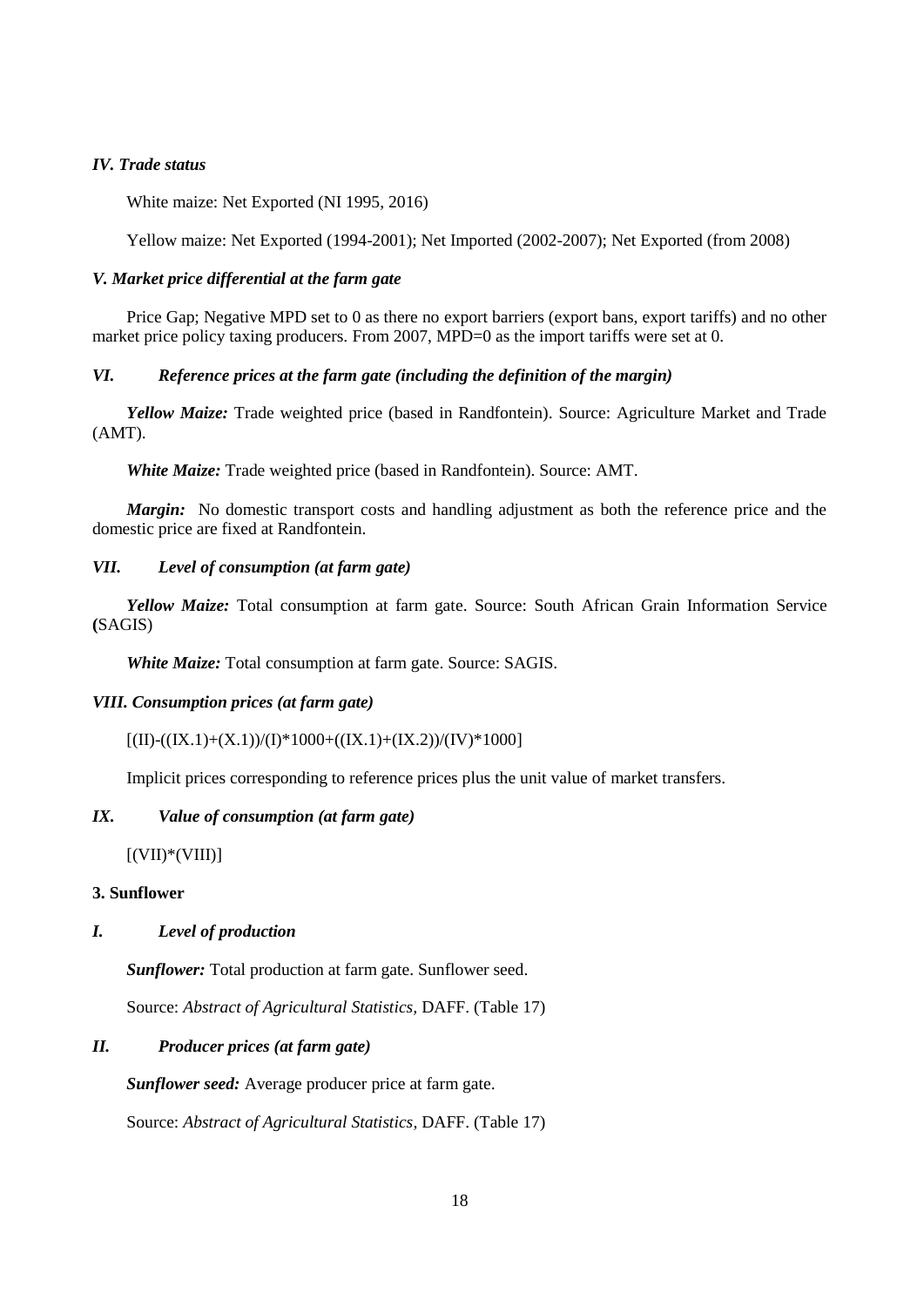## *IV. Trade status*

White maize: Net Exported (NI 1995, 2016)

Yellow maize: Net Exported (1994-2001); Net Imported (2002-2007); Net Exported (from 2008)

## *V. Market price differential at the farm gate*

Price Gap; Negative MPD set to 0 as there no export barriers (export bans, export tariffs) and no other market price policy taxing producers. From 2007, MPD=0 as the import tariffs were set at 0.

### *VI. Reference prices at the farm gate (including the definition of the margin)*

*Yellow Maize:* Trade weighted price (based in Randfontein). Source: Agriculture Market and Trade (AMT).

*White Maize:* Trade weighted price (based in Randfontein). Source: AMT.

*Margin:* No domestic transport costs and handling adjustment as both the reference price and the domestic price are fixed at Randfontein.

## *VII. Level of consumption (at farm gate)*

*Yellow Maize:* Total consumption at farm gate. Source: South African Grain Information Service **(**SAGIS)

*White Maize:* Total consumption at farm gate. Source: SAGIS.

#### *VIII. Consumption prices (at farm gate)*

## $[(II)-((IX.1)+(X.1))/(I)*1000+((IX.1)+(IX.2))/(IV)*1000]$

Implicit prices corresponding to reference prices plus the unit value of market transfers.

## *IX. Value of consumption (at farm gate)*

 $[(VII)*(VIII)]$ 

### **3. Sunflower**

## *I. Level of production*

*Sunflower:* Total production at farm gate. Sunflower seed.

Source: *Abstract of Agricultural Statistics,* DAFF. (Table 17)

## *II. Producer prices (at farm gate)*

*Sunflower seed:* Average producer price at farm gate.

Source: *Abstract of Agricultural Statistics*, DAFF. (Table 17)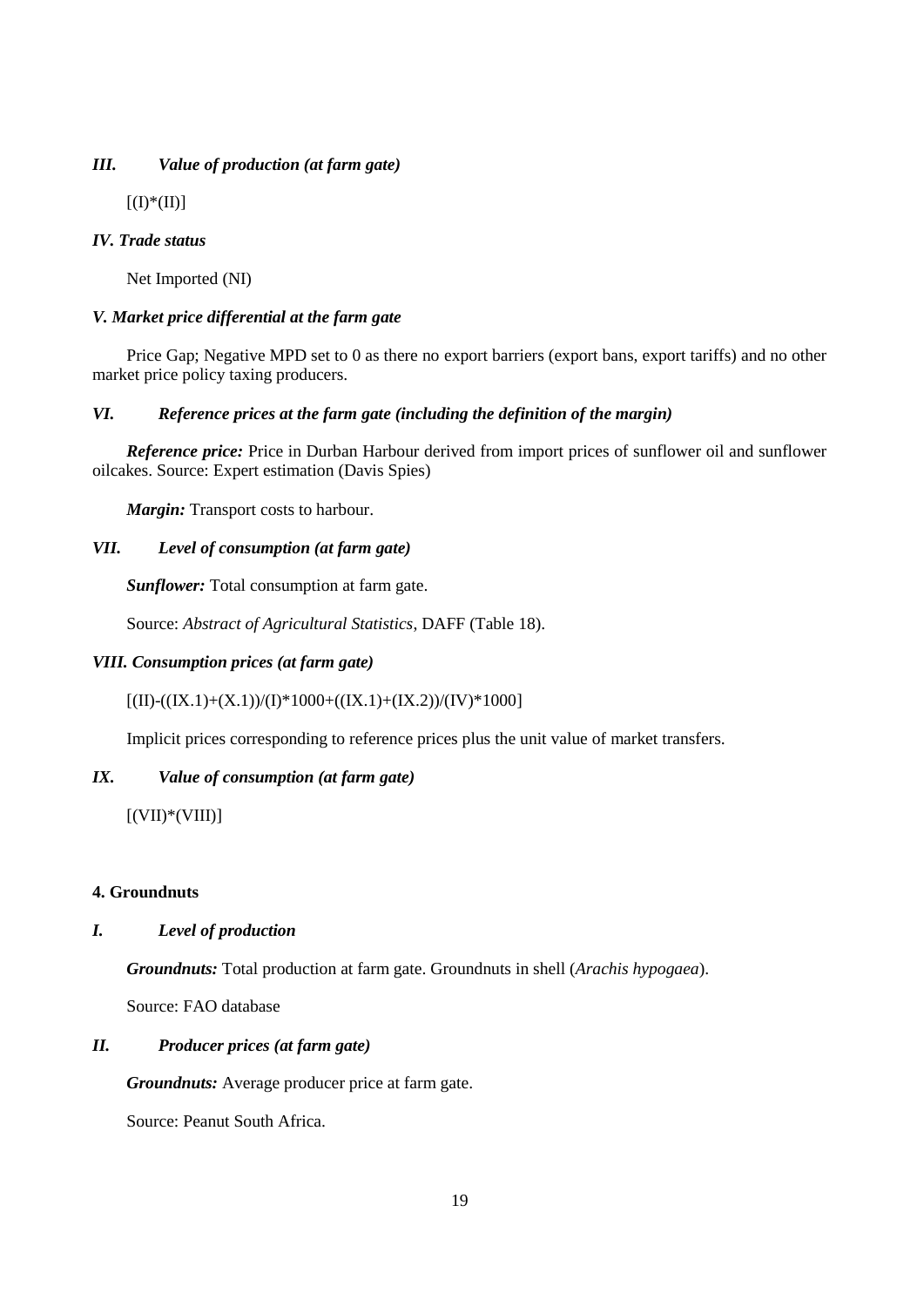# *III. Value of production (at farm gate)*

 $[(I)*(II)]$ 

## *IV. Trade status*

Net Imported (NI)

# *V. Market price differential at the farm gate*

Price Gap; Negative MPD set to 0 as there no export barriers (export bans, export tariffs) and no other market price policy taxing producers*.*

# *VI. Reference prices at the farm gate (including the definition of the margin)*

*Reference price:* Price in Durban Harbour derived from import prices of sunflower oil and sunflower oilcakes. Source: Expert estimation (Davis Spies)

*Margin:* Transport costs to harbour.

# *VII. Level of consumption (at farm gate)*

*Sunflower:* Total consumption at farm gate.

Source: *Abstract of Agricultural Statistics*, DAFF (Table 18).

## *VIII. Consumption prices (at farm gate)*

 $[(II)-((IX.1)+(X.1))/(I)*1000+((IX.1)+(IX.2))/(IV)*1000]$ 

Implicit prices corresponding to reference prices plus the unit value of market transfers.

## *IX. Value of consumption (at farm gate)*

 $[(VII)*(VIII)]$ 

## **4. Groundnuts**

# *I. Level of production*

*Groundnuts:* Total production at farm gate. Groundnuts in shell (*Arachis hypogaea*).

Source: FAO database

# *II. Producer prices (at farm gate)*

*Groundnuts:* Average producer price at farm gate.

Source: Peanut South Africa.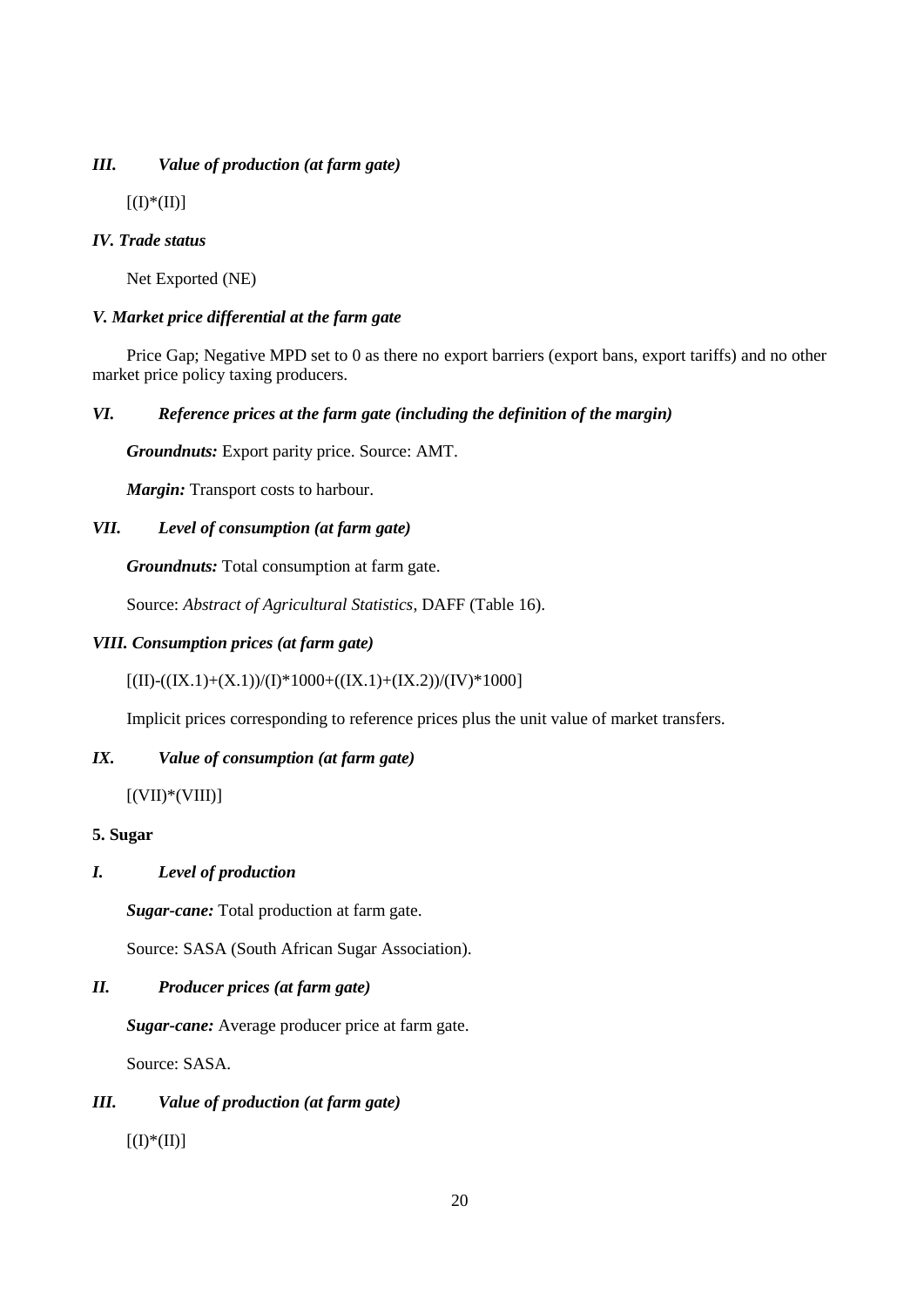# *III. Value of production (at farm gate)*

 $[(I)*(II)]$ 

# *IV. Trade status*

Net Exported (NE)

# *V. Market price differential at the farm gate*

Price Gap; Negative MPD set to 0 as there no export barriers (export bans, export tariffs) and no other market price policy taxing producers*.*

# *VI. Reference prices at the farm gate (including the definition of the margin)*

*Groundnuts:* Export parity price. Source: AMT.

*Margin:* Transport costs to harbour.

# *VII. Level of consumption (at farm gate)*

*Groundnuts:* Total consumption at farm gate.

Source: *Abstract of Agricultural Statistics*, DAFF (Table 16).

# *VIII. Consumption prices (at farm gate)*

 $[(II)-(((IX.1)+(X.1))/(I)*1000+((IX.1)+(IX.2))/(IV)*1000]$ 

Implicit prices corresponding to reference prices plus the unit value of market transfers.

# *IX. Value of consumption (at farm gate)*

 $[(VII)*(VIII)]$ 

# **5. Sugar**

# *I. Level of production*

*Sugar-cane:* Total production at farm gate.

Source: SASA (South African Sugar Association).

# *II. Producer prices (at farm gate)*

*Sugar-cane:* Average producer price at farm gate.

Source: SASA.

# *III. Value of production (at farm gate)*

 $[(I)*(II)]$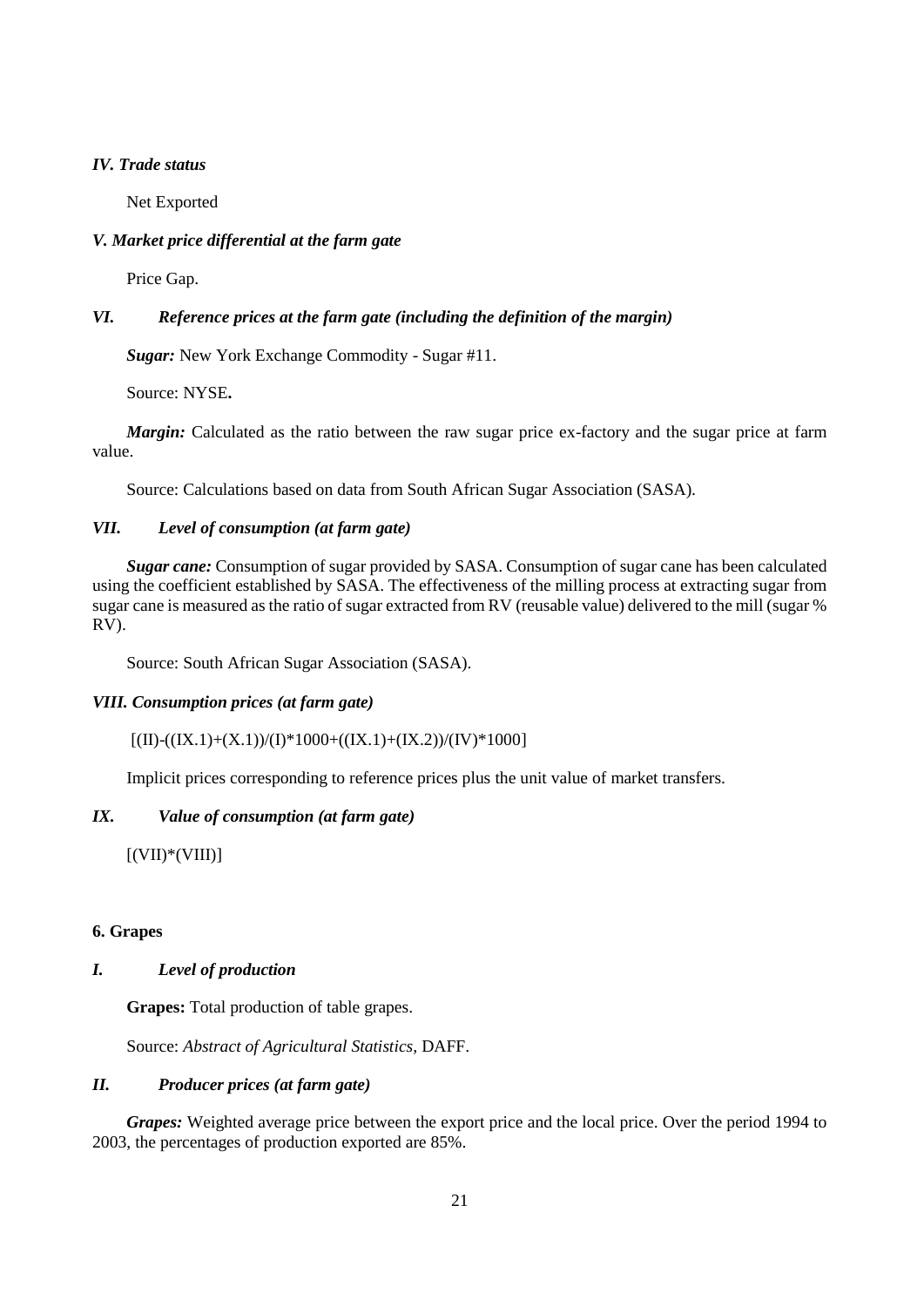## *IV. Trade status*

Net Exported

## *V. Market price differential at the farm gate*

Price Gap.

## *VI. Reference prices at the farm gate (including the definition of the margin)*

*Sugar:* New York Exchange Commodity - Sugar #11.

Source: NYSE**.**

*Margin:* Calculated as the ratio between the raw sugar price ex-factory and the sugar price at farm value.

Source: Calculations based on data from South African Sugar Association (SASA).

## *VII. Level of consumption (at farm gate)*

*Sugar cane:* Consumption of sugar provided by SASA. Consumption of sugar cane has been calculated using the coefficient established by SASA. The effectiveness of the milling process at extracting sugar from sugar cane is measured as the ratio of sugar extracted from RV (reusable value) delivered to the mill (sugar % RV).

Source: South African Sugar Association (SASA).

### *VIII. Consumption prices (at farm gate)*

 $[(II)-((IX.1)+(X.1))/(I)*1000+((IX.1)+(IX.2))/(IV)*1000]$ 

Implicit prices corresponding to reference prices plus the unit value of market transfers.

## *IX. Value of consumption (at farm gate)*

 $[(VII)*(VIII)]$ 

### **6. Grapes**

## *I. Level of production*

**Grapes:** Total production of table grapes.

Source: *Abstract of Agricultural Statistics,* DAFF.

## *II. Producer prices (at farm gate)*

*Grapes:* Weighted average price between the export price and the local price. Over the period 1994 to 2003, the percentages of production exported are 85%.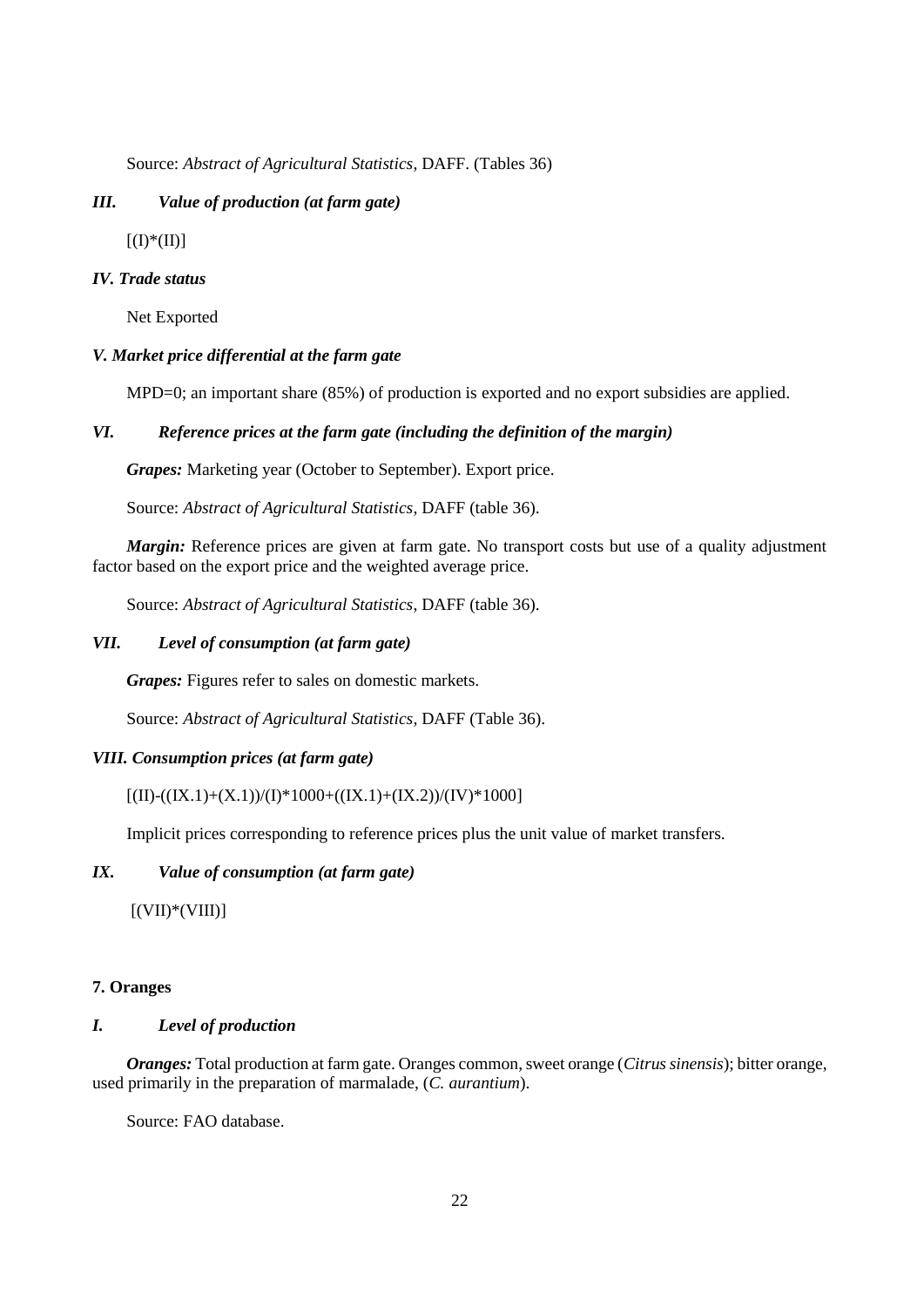Source: *Abstract of Agricultural Statistics*, DAFF. (Tables 36)

## *III. Value of production (at farm gate)*

 $[(I)*(II)]$ 

## *IV. Trade status*

Net Exported

## *V. Market price differential at the farm gate*

MPD=0; an important share (85%) of production is exported and no export subsidies are applied.

### *VI. Reference prices at the farm gate (including the definition of the margin)*

*Grapes:* Marketing year (October to September). Export price.

Source: *Abstract of Agricultural Statistics*, DAFF (table 36).

*Margin:* Reference prices are given at farm gate. No transport costs but use of a quality adjustment factor based on the export price and the weighted average price.

Source: *Abstract of Agricultural Statistics*, DAFF (table 36).

## *VII. Level of consumption (at farm gate)*

*Grapes:* Figures refer to sales on domestic markets.

Source: *Abstract of Agricultural Statistics*, DAFF (Table 36).

### *VIII. Consumption prices (at farm gate)*

## $[(II)-(((IX.1)+(X.1))/(I)*1000+((IX.1)+(IX.2))/(IV)*1000]$

Implicit prices corresponding to reference prices plus the unit value of market transfers.

## *IX. Value of consumption (at farm gate)*

 $[(VII)*(VIII)]$ 

### **7. Oranges**

### *I. Level of production*

*Oranges:* Total production at farm gate. Oranges common, sweet orange (*Citrus sinensis*); bitter orange, used primarily in the preparation of marmalade, (*C. aurantium*).

Source: FAO database.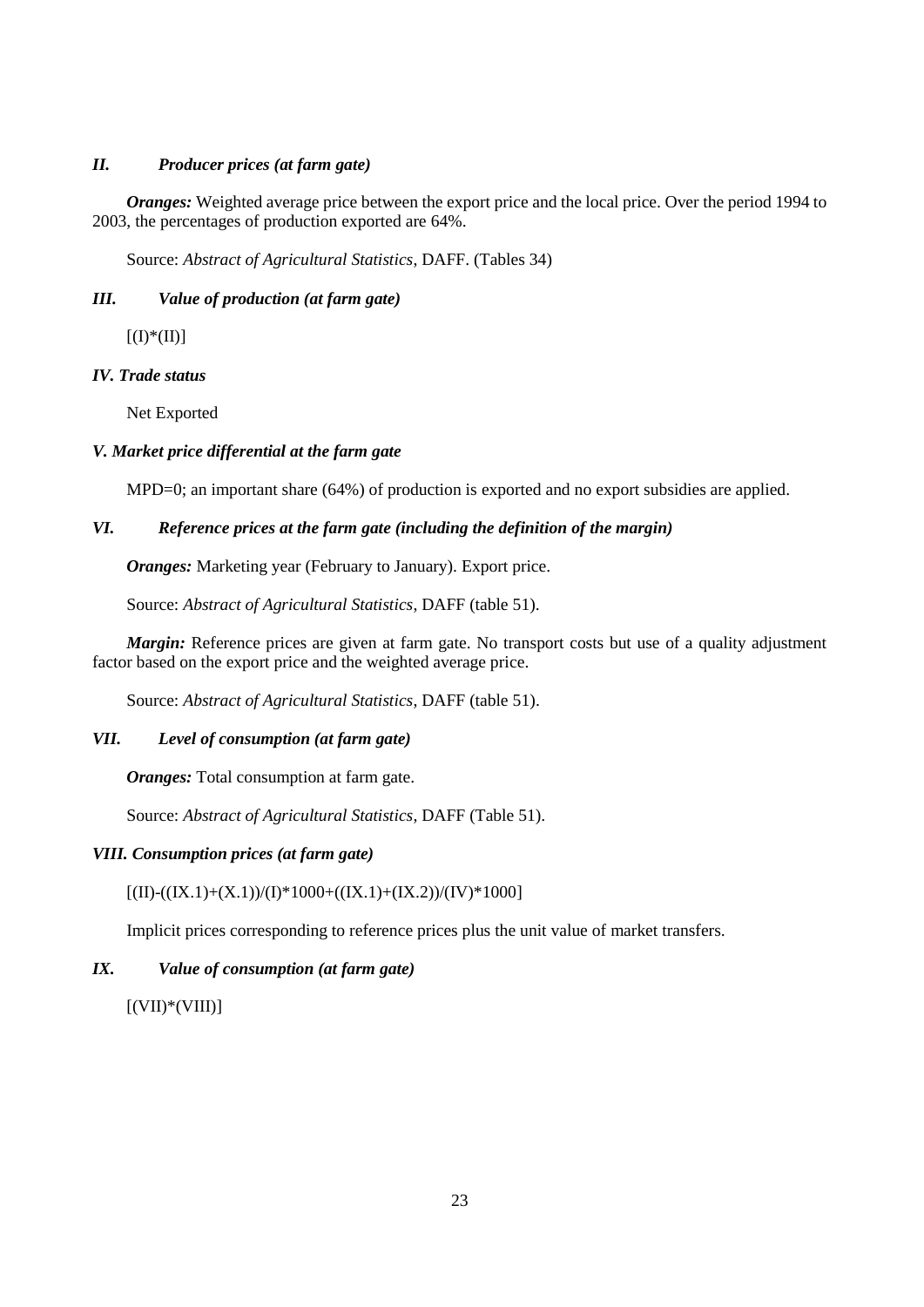# *II. Producer prices (at farm gate)*

*Oranges:* Weighted average price between the export price and the local price. Over the period 1994 to 2003, the percentages of production exported are 64%.

Source: *Abstract of Agricultural Statistics*, DAFF. (Tables 34)

# *III. Value of production (at farm gate)*

 $[(I)*(II)]$ 

# *IV. Trade status*

Net Exported

# *V. Market price differential at the farm gate*

MPD=0; an important share (64%) of production is exported and no export subsidies are applied.

# *VI. Reference prices at the farm gate (including the definition of the margin)*

*Oranges:* Marketing year (February to January). Export price.

Source: *Abstract of Agricultural Statistics*, DAFF (table 51).

*Margin:* Reference prices are given at farm gate. No transport costs but use of a quality adjustment factor based on the export price and the weighted average price.

Source: *Abstract of Agricultural Statistics*, DAFF (table 51).

# *VII. Level of consumption (at farm gate)*

*Oranges:* Total consumption at farm gate.

Source: *Abstract of Agricultural Statistics*, DAFF (Table 51).

## *VIII. Consumption prices (at farm gate)*

 $[(II)-((IX.1)+(X.1))/(I)*1000+((IX.1)+(IX.2))/(IV)*1000]$ 

Implicit prices corresponding to reference prices plus the unit value of market transfers.

# *IX. Value of consumption (at farm gate)*

 $[(VII)*(VIII)]$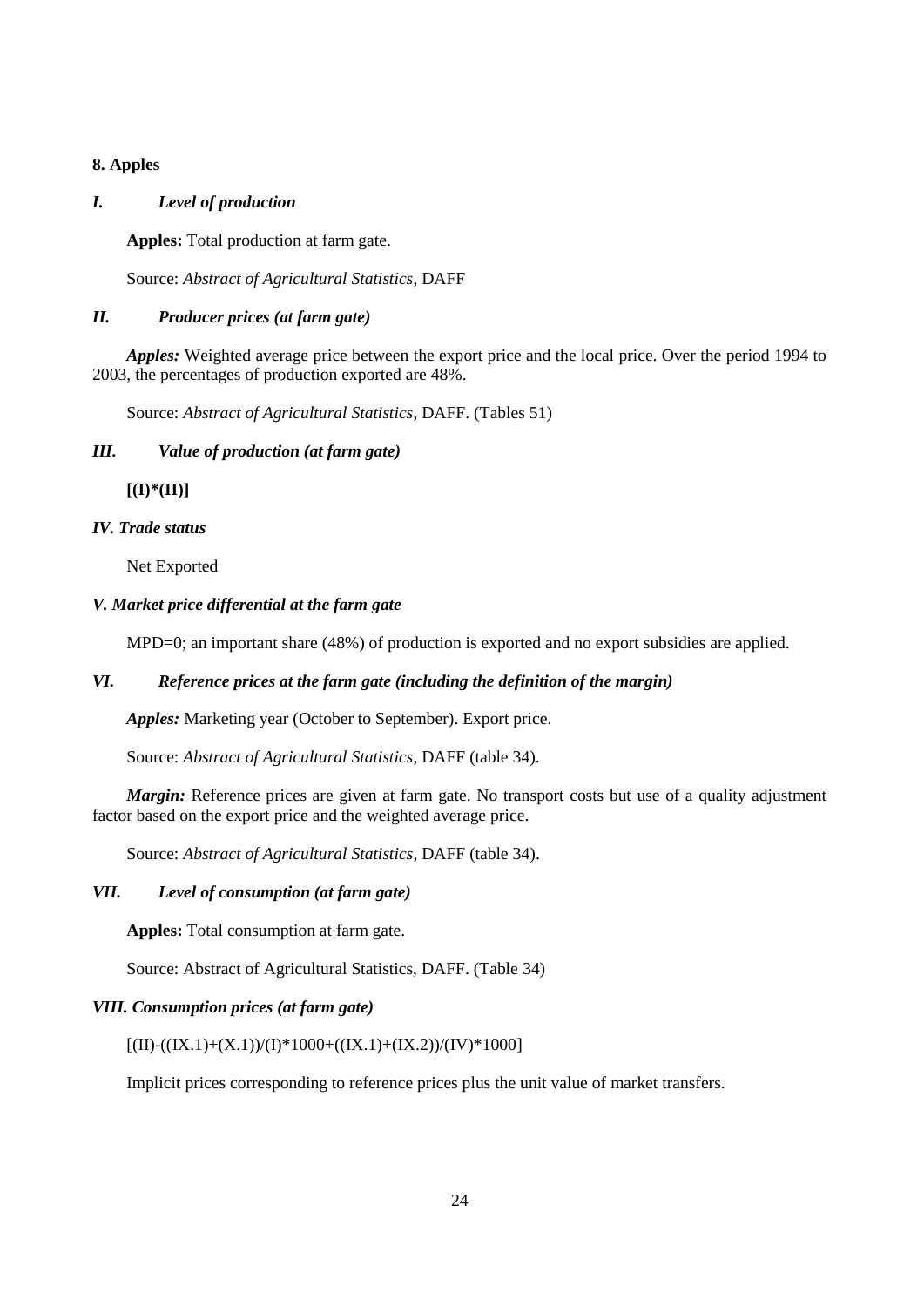# **8. Apples**

## *I. Level of production*

**Apples:** Total production at farm gate.

Source: *Abstract of Agricultural Statistics*, DAFF

# *II. Producer prices (at farm gate)*

*Apples:* Weighted average price between the export price and the local price. Over the period 1994 to 2003, the percentages of production exported are 48%.

Source: *Abstract of Agricultural Statistics*, DAFF. (Tables 51)

# *III. Value of production (at farm gate)*

**[(I)\*(II)]** 

# *IV. Trade status*

Net Exported

# *V. Market price differential at the farm gate*

MPD=0; an important share (48%) of production is exported and no export subsidies are applied.

## *VI. Reference prices at the farm gate (including the definition of the margin)*

*Apples:* Marketing year (October to September). Export price.

Source: *Abstract of Agricultural Statistics*, DAFF (table 34).

*Margin:* Reference prices are given at farm gate. No transport costs but use of a quality adjustment factor based on the export price and the weighted average price.

Source: *Abstract of Agricultural Statistics*, DAFF (table 34).

# *VII. Level of consumption (at farm gate)*

**Apples:** Total consumption at farm gate.

Source: Abstract of Agricultural Statistics, DAFF. (Table 34)

## *VIII. Consumption prices (at farm gate)*

# $[(II)-(((IX.1)+(X.1))/(I)*1000+((IX.1)+(IX.2))/(IV)*1000]$

Implicit prices corresponding to reference prices plus the unit value of market transfers.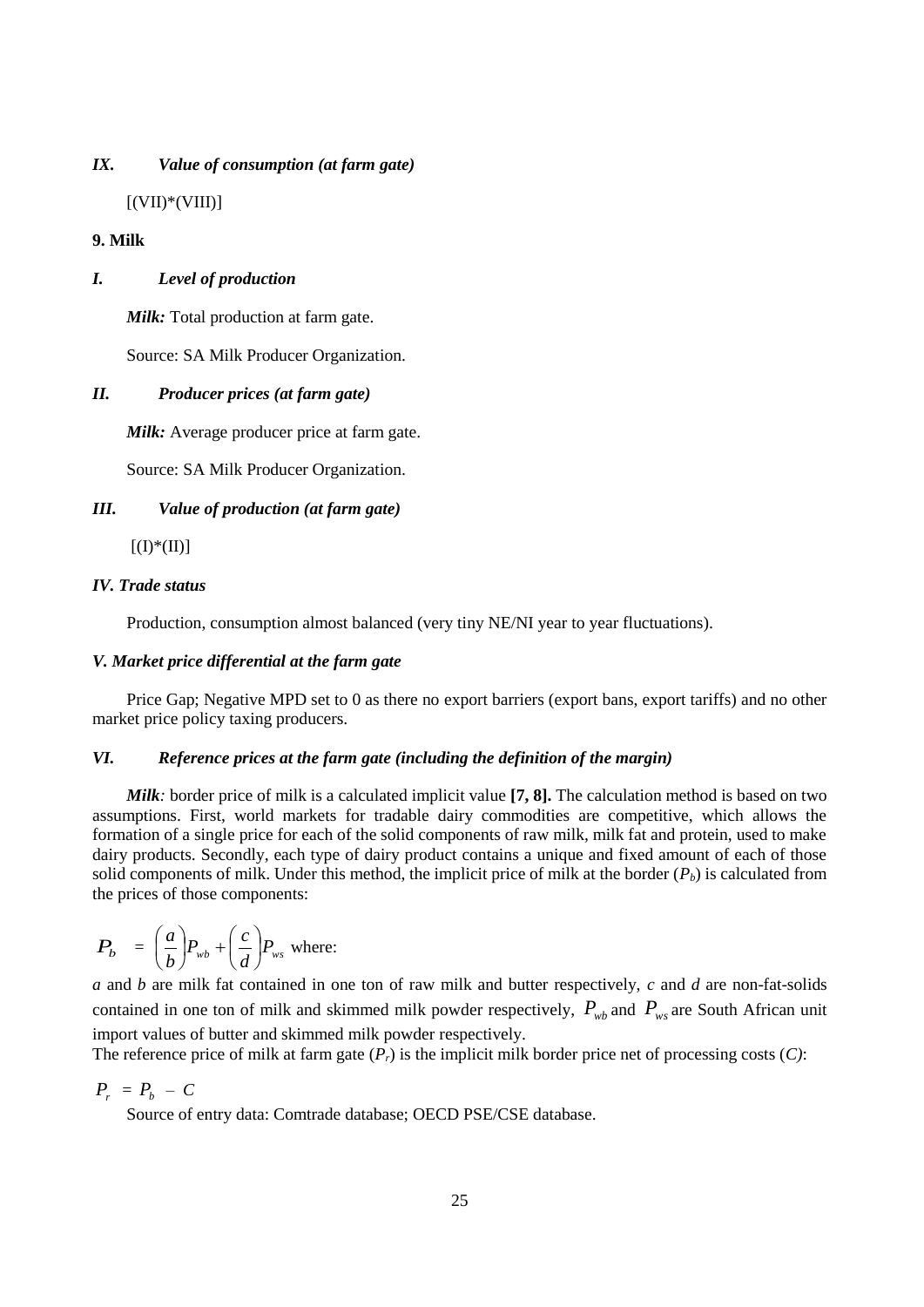## *IX. Value of consumption (at farm gate)*

 $[(VII)*(VIII)]$ 

### **9. Milk**

## *I. Level of production*

*Milk:* Total production at farm gate.

Source: SA Milk Producer Organization.

### *II. Producer prices (at farm gate)*

*Milk:* Average producer price at farm gate.

Source: SA Milk Producer Organization.

### *III. Value of production (at farm gate)*

 $[(I)*(II)]$ 

## *IV. Trade status*

Production, consumption almost balanced (very tiny NE/NI year to year fluctuations).

### *V. Market price differential at the farm gate*

Price Gap; Negative MPD set to 0 as there no export barriers (export bans, export tariffs) and no other market price policy taxing producers*.* 

## *VI. Reference prices at the farm gate (including the definition of the margin)*

*Milk:* border price of milk is a calculated implicit value **[7, 8].** The calculation method is based on two assumptions. First, world markets for tradable dairy commodities are competitive, which allows the formation of a single price for each of the solid components of raw milk, milk fat and protein, used to make dairy products. Secondly, each type of dairy product contains a unique and fixed amount of each of those solid components of milk. Under this method, the implicit price of milk at the border  $(P_b)$  is calculated from the prices of those components:

$$
P_b = \left(\frac{a}{b}\right) P_{wb} + \left(\frac{c}{d}\right) P_{ws} \text{ where:}
$$

*a* and *b* are milk fat contained in one ton of raw milk and butter respectively, *c* and *d* are non-fat-solids contained in one ton of milk and skimmed milk powder respectively,  $P_{wb}$  and  $P_{ws}$  are South African unit import values of butter and skimmed milk powder respectively.

The reference price of milk at farm gate (*Pr*) is the implicit milk border price net of processing costs (*C)*:

# $P_r = P_b - C$

Source of entry data: Comtrade database; OECD PSE/CSE database.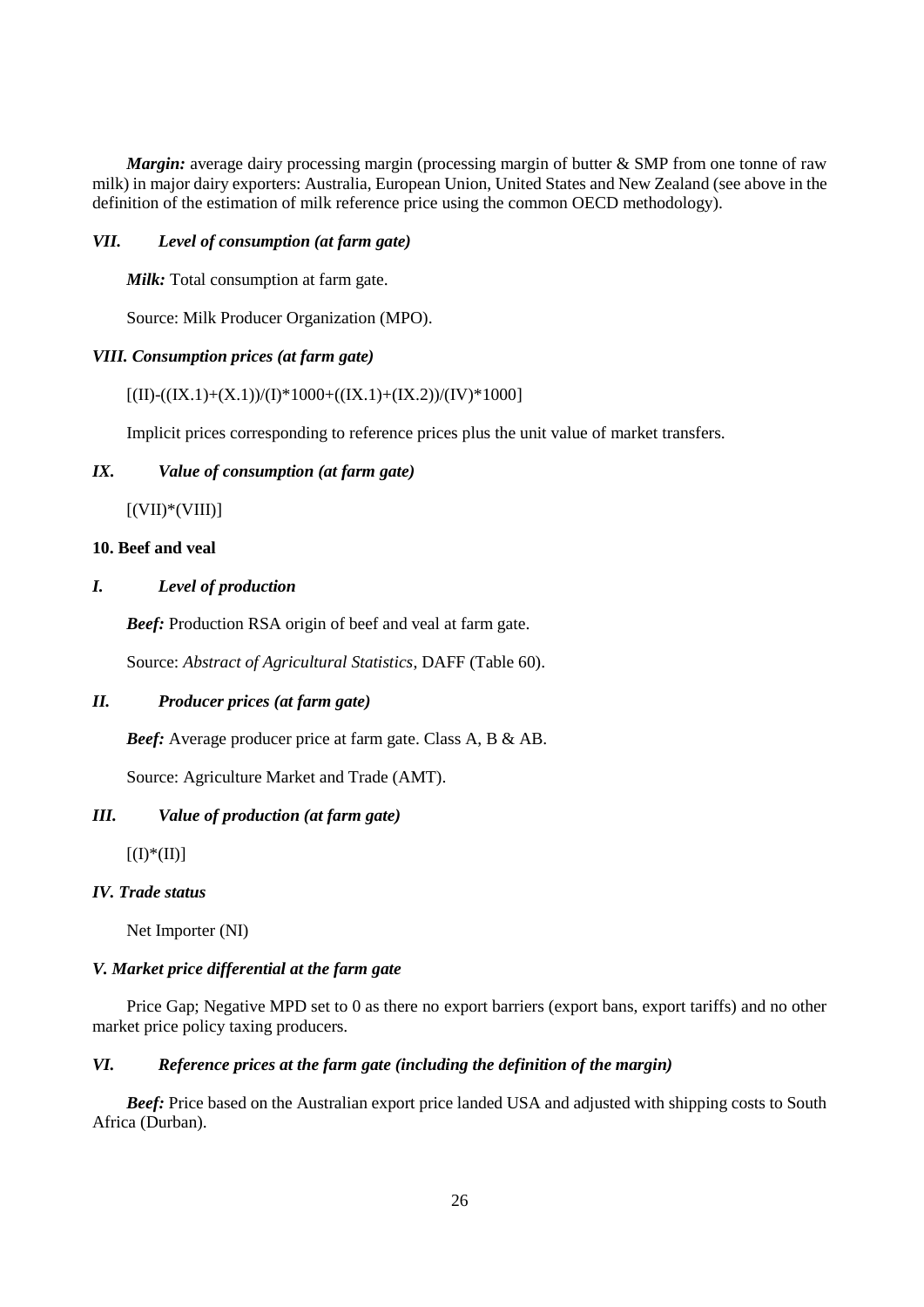*Margin:* average dairy processing margin (processing margin of butter & SMP from one tonne of raw milk) in major dairy exporters: Australia, European Union, United States and New Zealand (see above in the definition of the estimation of milk reference price using the common OECD methodology).

## *VII. Level of consumption (at farm gate)*

*Milk:* Total consumption at farm gate.

Source: Milk Producer Organization (MPO).

## *VIII. Consumption prices (at farm gate)*

### $[(II)-(((IX.1)+(X.1))/(I)*1000+((IX.1)+(IX.2))/(IV)*1000]$

Implicit prices corresponding to reference prices plus the unit value of market transfers.

## *IX. Value of consumption (at farm gate)*

 $[(VII)*(VIII)]$ 

## **10. Beef and veal**

## *I. Level of production*

*Beef:* Production RSA origin of beef and veal at farm gate.

Source: *Abstract of Agricultural Statistics*, DAFF (Table 60).

### *II. Producer prices (at farm gate)*

*Beef:* Average producer price at farm gate. Class A, B & AB.

Source: Agriculture Market and Trade (AMT).

# *III. Value of production (at farm gate)*

 $[(I)*(II)]$ 

### *IV. Trade status*

Net Importer (NI)

### *V. Market price differential at the farm gate*

Price Gap; Negative MPD set to 0 as there no export barriers (export bans, export tariffs) and no other market price policy taxing producers*.* 

## *VI. Reference prices at the farm gate (including the definition of the margin)*

*Beef:* Price based on the Australian export price landed USA and adjusted with shipping costs to South Africa (Durban).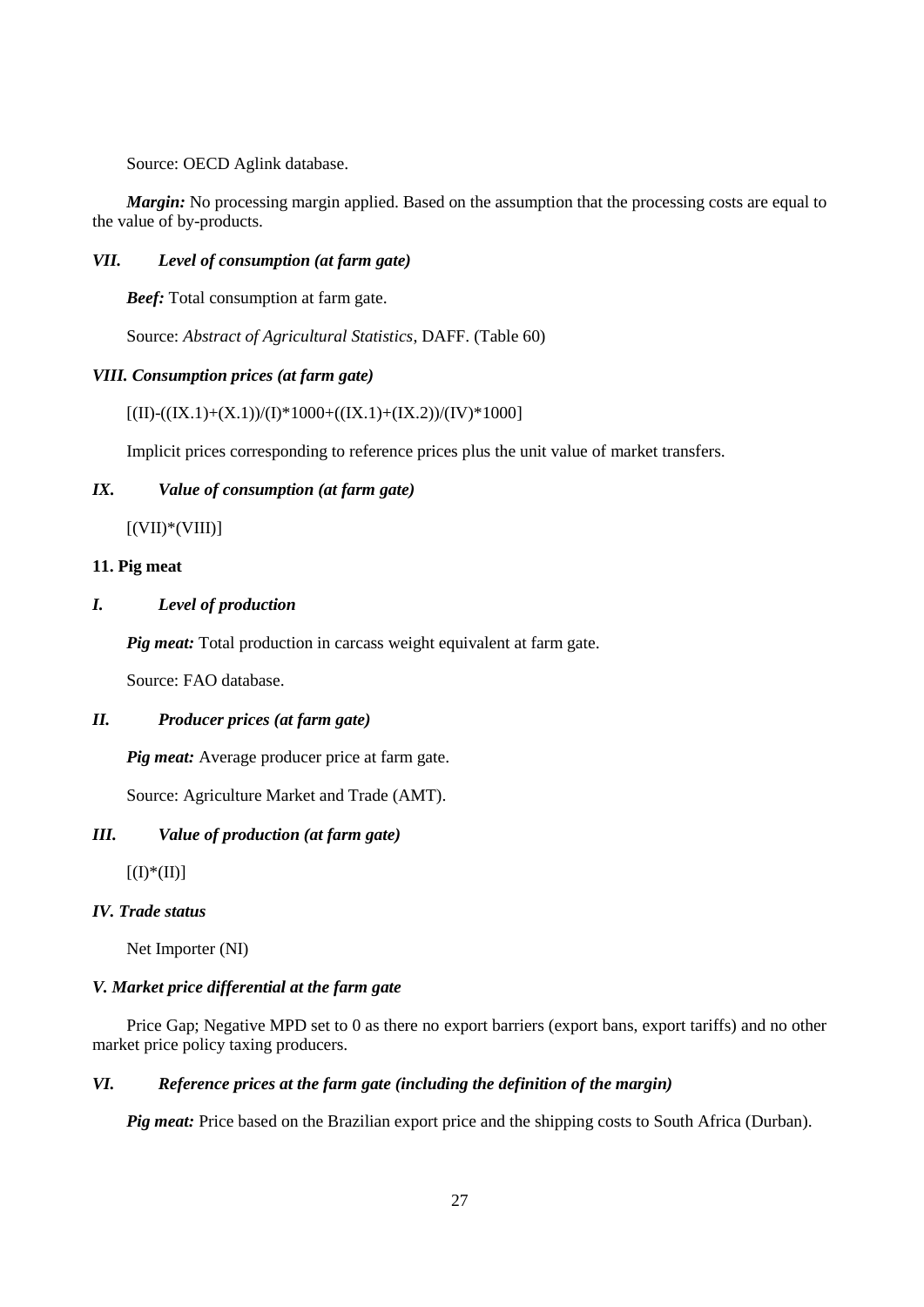Source: OECD Aglink database.

*Margin:* No processing margin applied. Based on the assumption that the processing costs are equal to the value of by-products.

## *VII. Level of consumption (at farm gate)*

*Beef:* Total consumption at farm gate.

Source: *Abstract of Agricultural Statistics*, DAFF. (Table 60)

## *VIII. Consumption prices (at farm gate)*

 $[(II)-((IX.1)+(X.1))/(I)*1000+((IX.1)+(IX.2))/(IV)*1000]$ 

Implicit prices corresponding to reference prices plus the unit value of market transfers.

# *IX. Value of consumption (at farm gate)*

 $[(VII)*(VIII)]$ 

### **11. Pig meat**

## *I. Level of production*

*Pig meat:* Total production in carcass weight equivalent at farm gate.

Source: FAO database.

### *II. Producer prices (at farm gate)*

*Pig meat:* Average producer price at farm gate.

Source: Agriculture Market and Trade (AMT).

## *III. Value of production (at farm gate)*

 $[(I)*(II)]$ 

## *IV. Trade status*

Net Importer (NI)

### *V. Market price differential at the farm gate*

Price Gap; Negative MPD set to 0 as there no export barriers (export bans, export tariffs) and no other market price policy taxing producers*.* 

## *VI. Reference prices at the farm gate (including the definition of the margin)*

*Pig meat:* Price based on the Brazilian export price and the shipping costs to South Africa (Durban).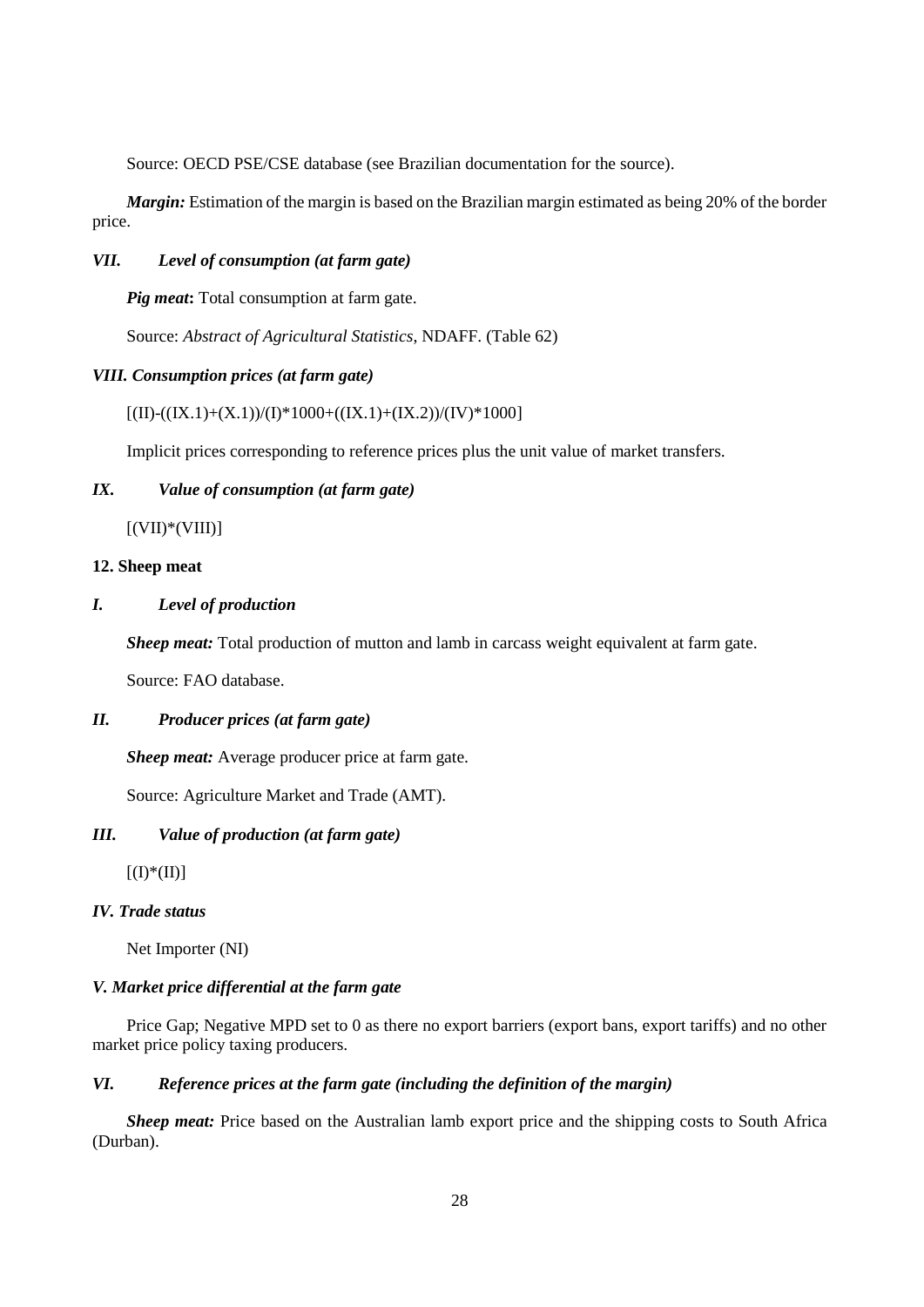Source: OECD PSE/CSE database (see Brazilian documentation for the source).

*Margin:* Estimation of the margin is based on the Brazilian margin estimated as being 20% of the border price.

### *VII. Level of consumption (at farm gate)*

*Pig meat***:** Total consumption at farm gate.

Source: *Abstract of Agricultural Statistics*, NDAFF. (Table 62)

### *VIII. Consumption prices (at farm gate)*

 $[(II)-((IX.1)+(X.1))/(I)*1000+((IX.1)+(IX.2))/(IV)*1000]$ 

Implicit prices corresponding to reference prices plus the unit value of market transfers.

# *IX. Value of consumption (at farm gate)*

 $[(VII)*(VIII)]$ 

### **12. Sheep meat**

## *I. Level of production*

*Sheep meat:* Total production of mutton and lamb in carcass weight equivalent at farm gate.

Source: FAO database.

### *II. Producer prices (at farm gate)*

*Sheep meat:* Average producer price at farm gate.

Source: Agriculture Market and Trade (AMT).

## *III. Value of production (at farm gate)*

 $[(I)*(II)]$ 

## *IV. Trade status*

Net Importer (NI)

### *V. Market price differential at the farm gate*

Price Gap; Negative MPD set to 0 as there no export barriers (export bans, export tariffs) and no other market price policy taxing producers*.* 

## *VI. Reference prices at the farm gate (including the definition of the margin)*

*Sheep meat:* Price based on the Australian lamb export price and the shipping costs to South Africa (Durban).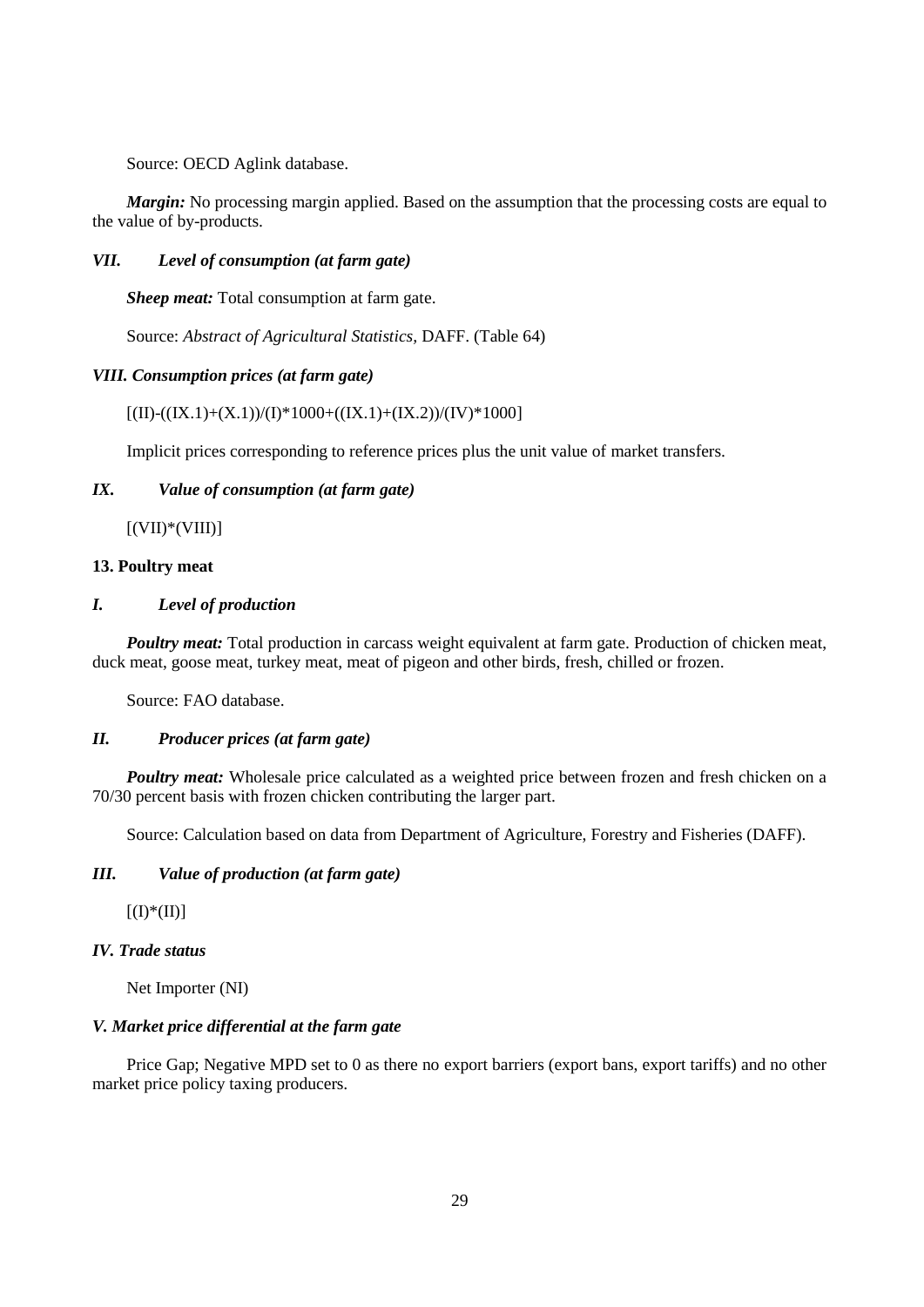Source: OECD Aglink database.

*Margin:* No processing margin applied. Based on the assumption that the processing costs are equal to the value of by-products.

## *VII. Level of consumption (at farm gate)*

*Sheep meat:* Total consumption at farm gate.

Source: *Abstract of Agricultural Statistics,* DAFF. (Table 64)

## *VIII. Consumption prices (at farm gate)*

 $[(II)-((IX.1)+(X.1))/(I)*1000+((IX.1)+(IX.2))/(IV)*1000]$ 

Implicit prices corresponding to reference prices plus the unit value of market transfers.

# *IX. Value of consumption (at farm gate)*

 $[(VII)*(VIII)]$ 

## **13. Poultry meat**

## *I. Level of production*

*Poultry meat:* Total production in carcass weight equivalent at farm gate. Production of chicken meat, duck meat, goose meat, turkey meat, meat of pigeon and other birds, fresh, chilled or frozen.

Source: FAO database.

# *II. Producer prices (at farm gate)*

*Poultry meat:* Wholesale price calculated as a weighted price between frozen and fresh chicken on a 70/30 percent basis with frozen chicken contributing the larger part.

Source: Calculation based on data from Department of Agriculture, Forestry and Fisheries (DAFF).

# *III. Value of production (at farm gate)*

 $[(I)$ <sup>\*</sup> $([I])$ ]

# *IV. Trade status*

Net Importer (NI)

# *V. Market price differential at the farm gate*

Price Gap; Negative MPD set to 0 as there no export barriers (export bans, export tariffs) and no other market price policy taxing producers*.*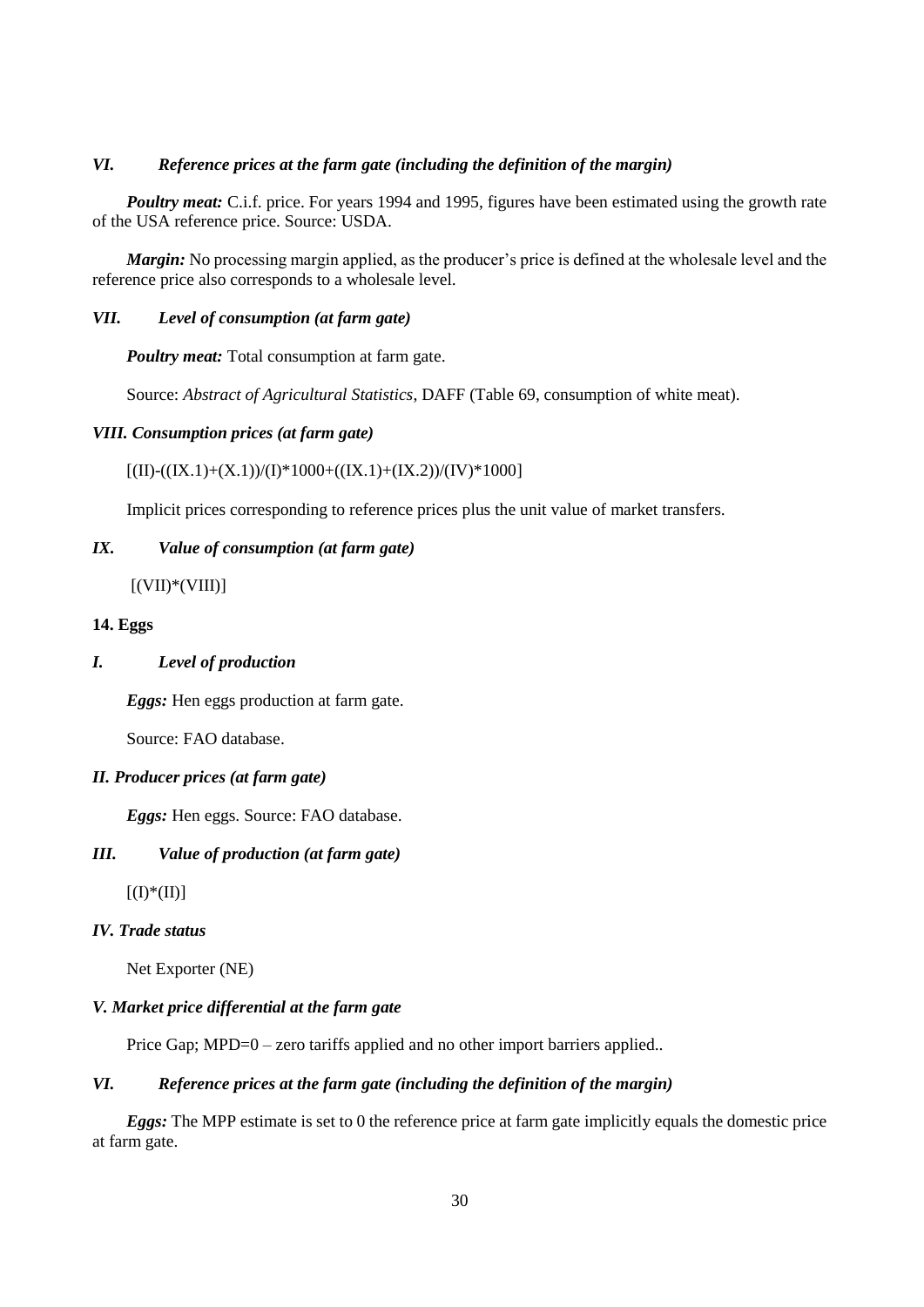# *VI. Reference prices at the farm gate (including the definition of the margin)*

*Poultry meat:* C.i.f. price. For years 1994 and 1995, figures have been estimated using the growth rate of the USA reference price. Source: USDA.

*Margin:* No processing margin applied, as the producer's price is defined at the wholesale level and the reference price also corresponds to a wholesale level.

### *VII. Level of consumption (at farm gate)*

*Poultry meat:* Total consumption at farm gate.

Source: *Abstract of Agricultural Statistics*, DAFF (Table 69, consumption of white meat).

## *VIII. Consumption prices (at farm gate)*

 $[(II)-(((IX.1)+(X.1))/(I)*1000+((IX.1)+(IX.2))/(IV)*1000]$ 

Implicit prices corresponding to reference prices plus the unit value of market transfers.

### *IX. Value of consumption (at farm gate)*

 $[(VII)*(VIII)]$ 

## **14. Eggs**

## *I. Level of production*

*Eggs:* Hen eggs production at farm gate.

Source: FAO database.

### *II. Producer prices (at farm gate)*

*Eggs:* Hen eggs. Source: FAO database.

### *III. Value of production (at farm gate)*

 $[(I)*(II)]$ 

## *IV. Trade status*

Net Exporter (NE)

### *V. Market price differential at the farm gate*

Price Gap; MPD=0 – zero tariffs applied and no other import barriers applied..

## *VI. Reference prices at the farm gate (including the definition of the margin)*

*Eggs:* The MPP estimate is set to 0 the reference price at farm gate implicitly equals the domestic price at farm gate.